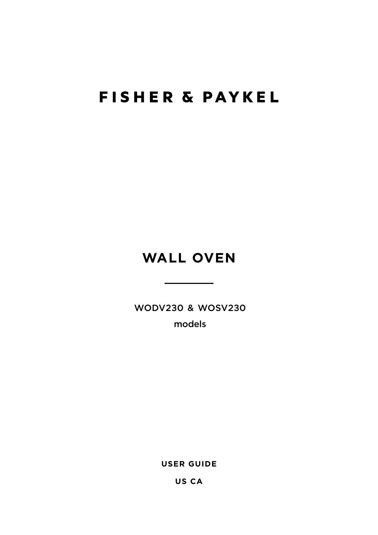## **FISHER & PAYKEL**

## **WALL OVEN**

WODV230 & WOSV230

models

**USER GUIDE**

**US CA**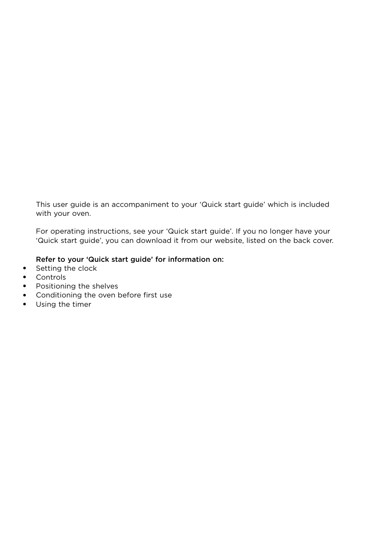This user guide is an accompaniment to your 'Quick start guide' which is included with your oven.

For operating instructions, see your 'Quick start guide'. If you no longer have your 'Quick start guide', you can download it from our website, listed on the back cover.

#### Refer to your 'Quick start guide' for information on:

- Setting the clock
- Controls
- Positioning the shelves
- Conditioning the oven before first use
- Using the timer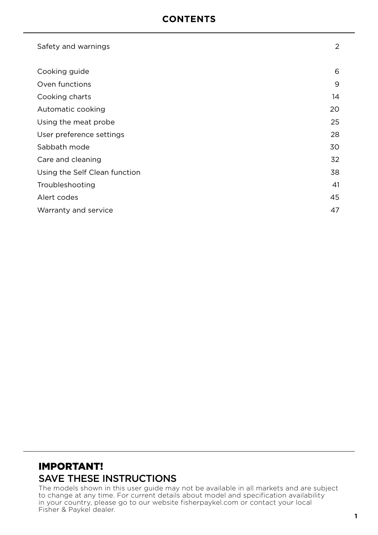### **CONTENTS**

| Safety and warnings           | 2  |
|-------------------------------|----|
| Cooking guide                 | 6  |
| Oven functions                | 9  |
| Cooking charts                | 14 |
| Automatic cooking             | 20 |
| Using the meat probe          | 25 |
| User preference settings      | 28 |
| Sabbath mode                  | 30 |
| Care and cleaning             | 32 |
| Using the Self Clean function | 38 |
| Troubleshooting               | 41 |
| Alert codes                   | 45 |
| Warranty and service          | 47 |

### IMPORTANT! SAVE THESE INSTRUCTIONS

The models shown in this user guide may not be available in all markets and are subject to change at any time. For current details about model and specification availability in your country, please go to our website fisherpaykel.com or contact your local Fisher & Paykel dealer.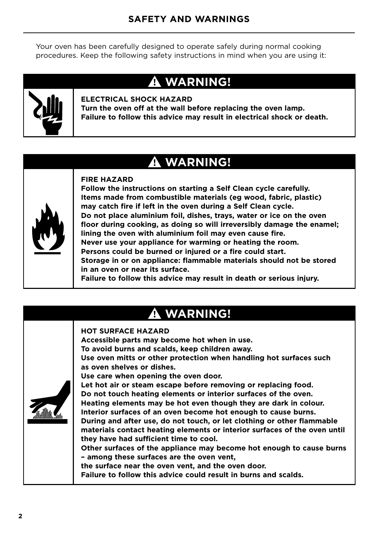Your oven has been carefully designed to operate safely during normal cooking procedures. Keep the following safety instructions in mind when you are using it:

## **WARNING!**



#### **ELECTRICAL SHOCK HAZARD**

**Turn the oven off at the wall before replacing the oven lamp. Failure to follow this advice may result in electrical shock or death.**

### **WARNING!**



#### **FIRE HAZARD**

**Follow the instructions on starting a Self Clean cycle carefully. Items made from combustible materials (eg wood, fabric, plastic) may catch fire if left in the oven during a Self Clean cycle. Do not place aluminium foil, dishes, trays, water or ice on the oven floor during cooking, as doing so will irreversibly damage the enamel; lining the oven with aluminium foil may even cause fire. Never use your appliance for warming or heating the room. Persons could be burned or injured or a fire could start. Storage in or on appliance: flammable materials should not be stored in an oven or near its surface. Failure to follow this advice may result in death or serious injury.**

## **WARNING!**

#### **HOT SURFACE HAZARD**

**Accessible parts may become hot when in use. To avoid burns and scalds, keep children away. Use oven mitts or other protection when handling hot surfaces such as oven shelves or dishes. Use care when opening the oven door. Let hot air or steam escape before removing or replacing food.**



**Do not touch heating elements or interior surfaces of the oven. Heating elements may be hot even though they are dark in colour. Interior surfaces of an oven become hot enough to cause burns.** 

**During and after use, do not touch, or let clothing or other flammable materials contact heating elements or interior surfaces of the oven until they have had sufficient time to cool.**

**Other surfaces of the appliance may become hot enough to cause burns – among these surfaces are the oven vent,**

**the surface near the oven vent, and the oven door.**

**Failure to follow this advice could result in burns and scalds.**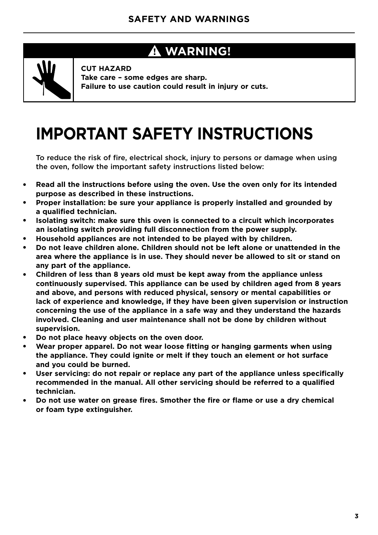### **WARNING!**



**CUT HAZARD Take care – some edges are sharp. Failure to use caution could result in injury or cuts.**

# **IMPORTANT SAFETY INSTRUCTIONS**

To reduce the risk of fire, electrical shock, injury to persons or damage when using the oven, follow the important safety instructions listed below:

- **Read all the instructions before using the oven. Use the oven only for its intended purpose as described in these instructions.**
- **Proper installation: be sure your appliance is properly installed and grounded by a qualified technician.**
- **Isolating switch: make sure this oven is connected to a circuit which incorporates an isolating switch providing full disconnection from the power supply.**
- **Household appliances are not intended to be played with by children.**
- **Do not leave children alone. Children should not be left alone or unattended in the area where the appliance is in use. They should never be allowed to sit or stand on any part of the appliance.**
- **Children of less than 8 years old must be kept away from the appliance unless continuously supervised. This appliance can be used by children aged from 8 years and above, and persons with reduced physical, sensory or mental capabilities or lack of experience and knowledge, if they have been given supervision or instruction concerning the use of the appliance in a safe way and they understand the hazards involved. Cleaning and user maintenance shall not be done by children without supervision.**
- Do not place heavy objects on the oven door.
- Wear proper apparel. Do not wear loose fitting or hanging garments when using **the appliance. They could ignite or melt if they touch an element or hot surface and you could be burned.**
- **User servicing: do not repair or replace any part of the appliance unless specifically recommended in the manual. All other servicing should be referred to a qualified technician.**
- Do not use water on grease fires. Smother the fire or flame or use a dry chemical **or foam type extinguisher.**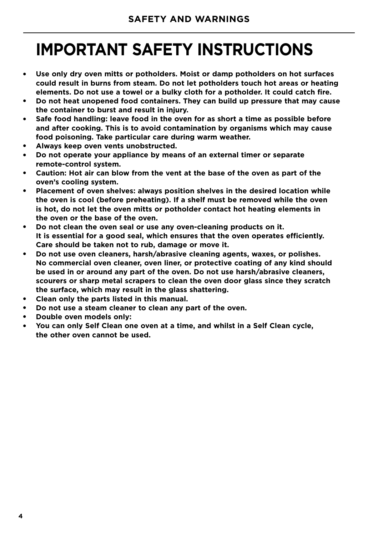## **IMPORTANT SAFETY INSTRUCTIONS**

- **Use only dry oven mitts or potholders. Moist or damp potholders on hot surfaces could result in burns from steam. Do not let potholders touch hot areas or heating elements. Do not use a towel or a bulky cloth for a potholder. It could catch fire.**
- **Do not heat unopened food containers. They can build up pressure that may cause the container to burst and result in injury.**
- **Safe food handling: leave food in the oven for as short a time as possible before and after cooking. This is to avoid contamination by organisms which may cause food poisoning. Take particular care during warm weather.**
- **Always keep oven vents unobstructed.**
- **Do not operate your appliance by means of an external timer or separate remote-control system.**
- Caution: Hot air can blow from the vent at the base of the oven as part of the **oven's cooling system.**
- **Placement of oven shelves: always position shelves in the desired location while the oven is cool (before preheating). If a shelf must be removed while the oven is hot, do not let the oven mitts or potholder contact hot heating elements in the oven or the base of the oven.**
- **Do not clean the oven seal or use any oven-cleaning products on it. It is essential for a good seal, which ensures that the oven operates efficiently. Care should be taken not to rub, damage or move it.**
- **Do not use oven cleaners, harsh/abrasive cleaning agents, waxes, or polishes. No commercial oven cleaner, oven liner, or protective coating of any kind should be used in or around any part of the oven. Do not use harsh/abrasive cleaners, scourers or sharp metal scrapers to clean the oven door glass since they scratch the surface, which may result in the glass shattering.**
- Clean only the parts listed in this manual.
- Do not use a steam cleaner to clean any part of the oven.
- **Double oven models only:**
- **You can only Self Clean one oven at a time, and whilst in a Self Clean cycle, the other oven cannot be used.**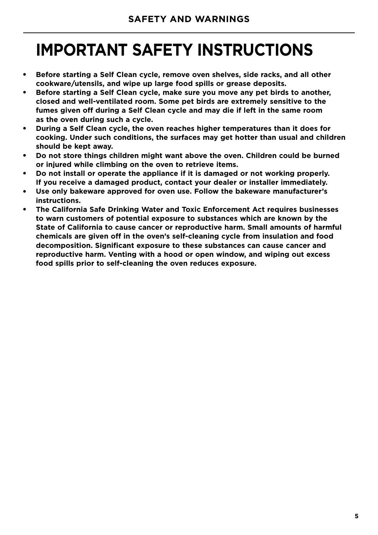# **IMPORTANT SAFETY INSTRUCTIONS**

- **Before starting a Self Clean cycle, remove oven shelves, side racks, and all other cookware/utensils, and wipe up large food spills or grease deposits.**
- **Before starting a Self Clean cycle, make sure you move any pet birds to another, closed and well-ventilated room. Some pet birds are extremely sensitive to the fumes given off during a Self Clean cycle and may die if left in the same room as the oven during such a cycle.**
- **During a Self Clean cycle, the oven reaches higher temperatures than it does for cooking. Under such conditions, the surfaces may get hotter than usual and children should be kept away.**
- Do not store things children might want above the oven. Children could be burned **or injured while climbing on the oven to retrieve items.**
- **Do not install or operate the appliance if it is damaged or not working properly. If you receive a damaged product, contact your dealer or installer immediately.**
- Use only bakeware approved for oven use. Follow the bakeware manufacturer's **instructions.**
- **The California Safe Drinking Water and Toxic Enforcement Act requires businesses to warn customers of potential exposure to substances which are known by the State of California to cause cancer or reproductive harm. Small amounts of harmful chemicals are given off in the oven's self-cleaning cycle from insulation and food decomposition. Significant exposure to these substances can cause cancer and reproductive harm. Venting with a hood or open window, and wiping out excess food spills prior to self-cleaning the oven reduces exposure.**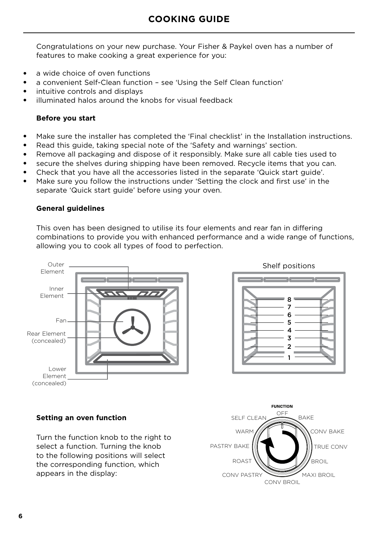### **COOKING GUIDE**

Congratulations on your new purchase. Your Fisher & Paykel oven has a number of features to make cooking a great experience for you:

- a wide choice of oven functions
- a convenient Self-Clean function see 'Using the Self Clean function'
- intuitive controls and displays
- illuminated halos around the knobs for visual feedback

#### **Before you start**

- Make sure the installer has completed the 'Final checklist' in the Installation instructions.
- Read this guide, taking special note of the 'Safety and warnings' section.
- Remove all packaging and dispose of it responsibly. Make sure all cable ties used to
- secure the shelves during shipping have been removed. Recycle items that you can.
- Check that you have all the accessories listed in the separate 'Quick start guide'.
- Make sure you follow the instructions under 'Setting the clock and first use' in the separate 'Quick start guide' before using your oven.

#### **General guidelines**

This oven has been designed to utilise its four elements and rear fan in differing combinations to provide you with enhanced performance and a wide range of functions, allowing you to cook all types of food to perfection.





#### **Setting an oven function**

Turn the function knob to the right to select a function. Turning the knob to the following positions will select the corresponding function, which appears in the display:

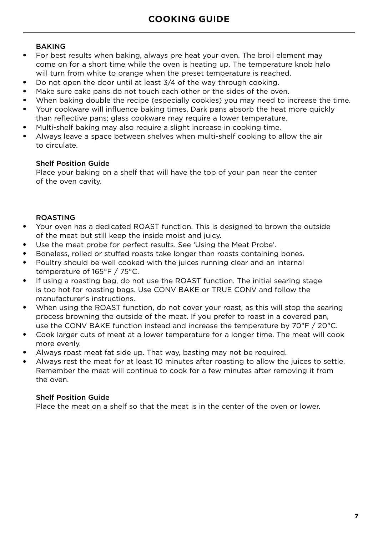#### BAKING

- For best results when baking, always pre heat your oven. The broil element may come on for a short time while the oven is heating up. The temperature knob halo will turn from white to orange when the preset temperature is reached.
- Do not open the door until at least 3/4 of the way through cooking.
- Make sure cake pans do not touch each other or the sides of the oven.
- When baking double the recipe (especially cookies) you may need to increase the time.
- Your cookware will influence baking times. Dark pans absorb the heat more quickly than reflective pans; glass cookware may require a lower temperature.
- Multi-shelf baking may also require a slight increase in cooking time.
- Always leave a space between shelves when multi-shelf cooking to allow the air to circulate.

#### Shelf Position Guide

Place your baking on a shelf that will have the top of your pan near the center of the oven cavity.

#### ROASTING

- Your oven has a dedicated ROAST function. This is designed to brown the outside of the meat but still keep the inside moist and juicy.
- Use the meat probe for perfect results. See 'Using the Meat Probe'.
- Boneless, rolled or stuffed roasts take longer than roasts containing bones.
- Poultry should be well cooked with the juices running clear and an internal temperature of 165°F / 75°C.
- If using a roasting bag, do not use the ROAST function. The initial searing stage is too hot for roasting bags. Use CONV BAKE or TRUE CONV and follow the manufacturer's instructions.
- When using the ROAST function, do not cover your roast, as this will stop the searing process browning the outside of the meat. If you prefer to roast in a covered pan, use the CONV BAKE function instead and increase the temperature by 70°F / 20°C.
- Cook larger cuts of meat at a lower temperature for a longer time. The meat will cook more evenly.
- Always roast meat fat side up. That way, basting may not be required.
- Always rest the meat for at least 10 minutes after roasting to allow the juices to settle. Remember the meat will continue to cook for a few minutes after removing it from the oven.

#### Shelf Position Guide

Place the meat on a shelf so that the meat is in the center of the oven or lower.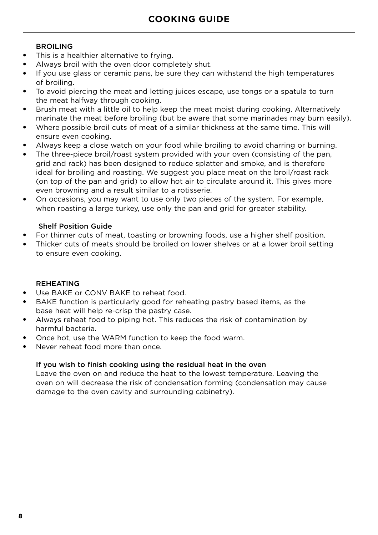#### BROILING

- This is a healthier alternative to frying.
- Always broil with the oven door completely shut.
- If you use glass or ceramic pans, be sure they can withstand the high temperatures of broiling.
- To avoid piercing the meat and letting juices escape, use tongs or a spatula to turn the meat halfway through cooking.
- Brush meat with a little oil to help keep the meat moist during cooking. Alternatively marinate the meat before broiling (but be aware that some marinades may burn easily).
- Where possible broil cuts of meat of a similar thickness at the same time. This will ensure even cooking.
- Always keep a close watch on your food while broiling to avoid charring or burning.
- The three-piece broil/roast system provided with your oven (consisting of the pan, grid and rack) has been designed to reduce splatter and smoke, and is therefore ideal for broiling and roasting. We suggest you place meat on the broil/roast rack (on top of the pan and grid) to allow hot air to circulate around it. This gives more even browning and a result similar to a rotisserie.
- On occasions, you may want to use only two pieces of the system. For example, when roasting a large turkey, use only the pan and grid for greater stability.

#### Shelf Position Guide

- For thinner cuts of meat, toasting or browning foods, use a higher shelf position.
- Thicker cuts of meats should be broiled on lower shelves or at a lower broil setting to ensure even cooking.

#### REHEATING

- Use BAKE or CONV BAKE to reheat food.
- BAKE function is particularly good for reheating pastry based items, as the base heat will help re-crisp the pastry case.
- Always reheat food to piping hot. This reduces the risk of contamination by harmful bacteria.
- Once hot, use the WARM function to keep the food warm.
- Never reheat food more than once.

#### If you wish to finish cooking using the residual heat in the oven

Leave the oven on and reduce the heat to the lowest temperature. Leaving the oven on will decrease the risk of condensation forming (condensation may cause damage to the oven cavity and surrounding cabinetry).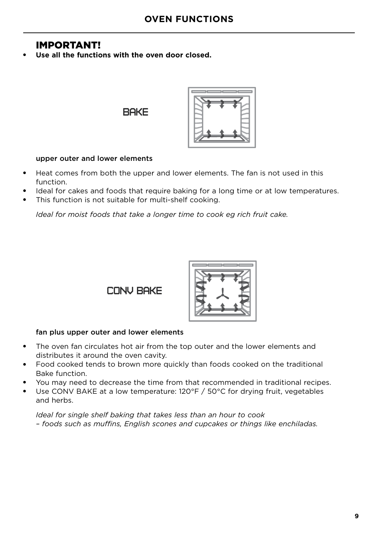### IMPORTANT!

Use all the functions with the oven door closed.

**BAKE** 



#### upper outer and lower elements

- Heat comes from both the upper and lower elements. The fan is not used in this function.
- Ideal for cakes and foods that require baking for a long time or at low temperatures.
- This function is not suitable for multi-shelf cooking.

*Ideal for moist foods that take a longer time to cook eg rich fruit cake.*

CONV BAKE



#### fan plus upper outer and lower elements

- The oven fan circulates hot air from the top outer and the lower elements and distributes it around the oven cavity.
- Food cooked tends to brown more quickly than foods cooked on the traditional Bake function.
- You may need to decrease the time from that recommended in traditional recipes.
- Use CONV BAKE at a low temperature: 120°F / 50°C for drying fruit, vegetables and herbs.

*Ideal for single shelf baking that takes less than an hour to cook – foods such as muffins, English scones and cupcakes or things like enchiladas.*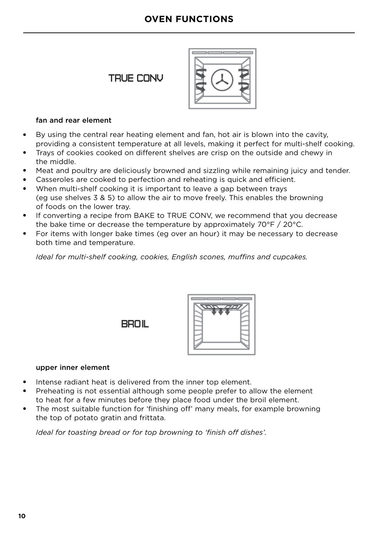### **OVEN FUNCTIONS**

### TRUE CONV



#### fan and rear element

- By using the central rear heating element and fan, hot air is blown into the cavity, providing a consistent temperature at all levels, making it perfect for multi-shelf cooking.
- Trays of cookies cooked on different shelves are crisp on the outside and chewy in the middle.
- Meat and poultry are deliciously browned and sizzling while remaining juicy and tender.
- Casseroles are cooked to perfection and reheating is quick and efficient.
- When multi-shelf cooking it is important to leave a gap between trays (eg use shelves 3 & 5) to allow the air to move freely. This enables the browning of foods on the lower tray.
- If converting a recipe from BAKE to TRUE CONV, we recommend that you decrease the bake time or decrease the temperature by approximately 70°F / 20°C.
- For items with longer bake times (eg over an hour) it may be necessary to decrease both time and temperature.

*Ideal for multi-shelf cooking, cookies, English scones, muffins and cupcakes.*

BROIL



#### upper inner element

- Intense radiant heat is delivered from the inner top element.
- Preheating is not essential although some people prefer to allow the element to heat for a few minutes before they place food under the broil element.
- The most suitable function for 'finishing off' many meals, for example browning the top of potato gratin and frittata.

*Ideal for toasting bread or for top browning to 'finish off dishes'.*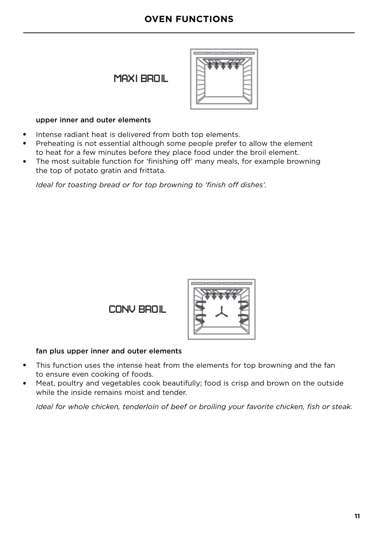### **OVEN FUNCTIONS**

### MAXI BROIL



#### upper inner and outer elements

- Intense radiant heat is delivered from both top elements.
- Preheating is not essential although some people prefer to allow the element to heat for a few minutes before they place food under the broil element.
- The most suitable function for 'finishing off' many meals, for example browning the top of potato gratin and frittata.

*Ideal for toasting bread or for top browning to 'finish off dishes'.*

CONV BROIL



#### fan plus upper inner and outer elements

- This function uses the intense heat from the elements for top browning and the fan to ensure even cooking of foods.
- Meat, poultry and vegetables cook beautifully; food is crisp and brown on the outside while the inside remains moist and tender.

*Ideal for whole chicken, tenderloin of beef or broiling your favorite chicken, fish or steak.*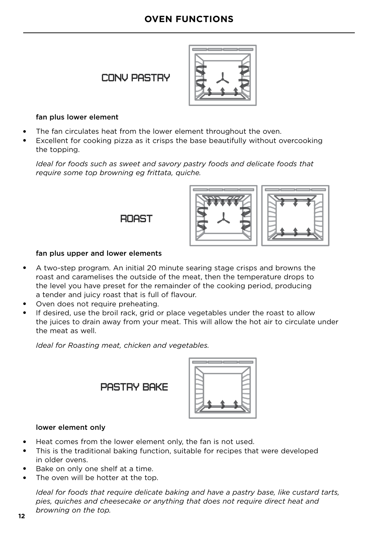### **OVEN FUNCTIONS**

### **CONV PASTRY**



#### fan plus lower element

- The fan circulates heat from the lower element throughout the oven.
- Excellent for cooking pizza as it crisps the base beautifully without overcooking the topping.

*Ideal for foods such as sweet and savory pastry foods and delicate foods that require some top browning eg frittata, quiche.* 

**ROAST** 



#### fan plus upper and lower elements

- A two-step program. An initial 20 minute searing stage crisps and browns the roast and caramelises the outside of the meat, then the temperature drops to the level you have preset for the remainder of the cooking period, producing a tender and juicy roast that is full of flavour.
- Oven does not require preheating.
- If desired, use the broil rack, grid or place vegetables under the roast to allow the juices to drain away from your meat. This will allow the hot air to circulate under the meat as well.

*Ideal for Roasting meat, chicken and vegetables.* 

PASTRY BAKE



#### lower element only

- Heat comes from the lower element only, the fan is not used.
- This is the traditional baking function, suitable for recipes that were developed in older ovens.
- Bake on only one shelf at a time.
- The oven will be hotter at the top.

*Ideal for foods that require delicate baking and have a pastry base, like custard tarts, pies, quiches and cheesecake or anything that does not require direct heat and browning on the top.*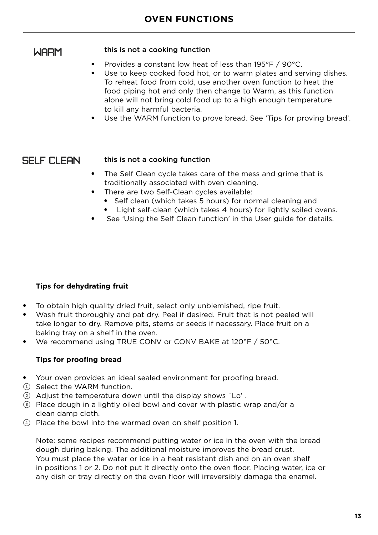### WARM

#### this is not a cooking function

- Provides a constant low heat of less than 195°F / 90°C.
- Use to keep cooked food hot, or to warm plates and serving dishes. To reheat food from cold, use another oven function to heat the food piping hot and only then change to Warm, as this function alone will not bring cold food up to a high enough temperature to kill any harmful bacteria.
- Use the WARM function to prove bread. See 'Tips for proving bread'.

### SELF CLEAN.

#### this is not a cooking function

- The Self Clean cycle takes care of the mess and grime that is traditionally associated with oven cleaning.
- There are two Self-Clean cycles available:
	- Self clean (which takes 5 hours) for normal cleaning and
	- Light self-clean (which takes 4 hours) for lightly soiled ovens.
- See 'Using the Self Clean function' in the User guide for details.

#### **Tips for dehydrating fruit**

- To obtain high quality dried fruit, select only unblemished, ripe fruit.
- Wash fruit thoroughly and pat dry. Peel if desired. Fruit that is not peeled will take longer to dry. Remove pits, stems or seeds if necessary. Place fruit on a baking tray on a shelf in the oven.
- We recommend using TRUE CONV or CONV BAKE at 120°F / 50°C.

#### **Tips for proofing bread**

- Your oven provides an ideal sealed environment for proofing bread.
- 1 Select the WARM function.
- 2 Adjust the temperature down until the display shows `Lo' .
- 3 Place dough in a lightly oiled bowl and cover with plastic wrap and/or a clean damp cloth.
- 4 Place the bowl into the warmed oven on shelf position 1.

Note: some recipes recommend putting water or ice in the oven with the bread dough during baking. The additional moisture improves the bread crust. You must place the water or ice in a heat resistant dish and on an oven shelf in positions 1 or 2. Do not put it directly onto the oven floor. Placing water, ice or any dish or tray directly on the oven floor will irreversibly damage the enamel.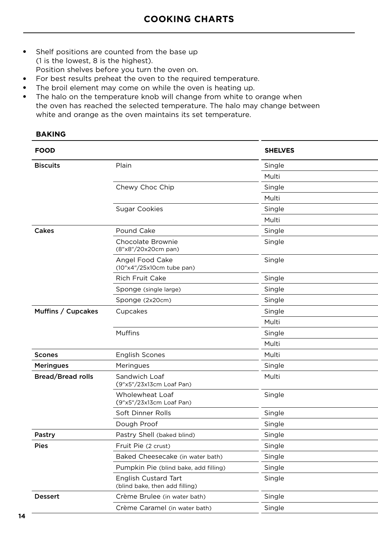- Shelf positions are counted from the base up (1 is the lowest, 8 is the highest). Position shelves before you turn the oven on.
- For best results preheat the oven to the required temperature.
- The broil element may come on while the oven is heating up.
- The halo on the temperature knob will change from white to orange when the oven has reached the selected temperature. The halo may change between white and orange as the oven maintains its set temperature.

#### **BAKING**

| <b>FOOD</b>              |                                                               | <b>SHELVES</b> |
|--------------------------|---------------------------------------------------------------|----------------|
| <b>Biscuits</b>          | Plain                                                         | Single         |
|                          |                                                               | Multi          |
|                          | Chewy Choc Chip                                               | Single         |
|                          |                                                               | Multi          |
|                          | <b>Sugar Cookies</b>                                          | Single         |
|                          |                                                               | Multi          |
| Cakes                    | Pound Cake                                                    | Single         |
|                          | Chocolate Brownie<br>(8"x8"/20x20cm pan)                      | Single         |
|                          | Angel Food Cake<br>(10"x4"/25x10cm tube pan)                  | Single         |
|                          | <b>Rich Fruit Cake</b>                                        | Single         |
|                          | Sponge (single large)                                         | Single         |
|                          | Sponge (2x20cm)                                               | Single         |
| Muffins / Cupcakes       | Cupcakes                                                      | Single         |
|                          |                                                               | Multi          |
|                          | <b>Muffins</b>                                                | Single         |
|                          |                                                               | Multi          |
| <b>Scones</b>            | <b>English Scones</b>                                         | Multi          |
| <b>Meringues</b>         | Meringues                                                     | Single         |
| <b>Bread/Bread rolls</b> | Sandwich Loaf<br>(9"x5"/23x13cm Loaf Pan)                     | Multi          |
|                          | <b>Wholewheat Loaf</b><br>(9"x5"/23x13cm Loaf Pan)            | Single         |
|                          | Soft Dinner Rolls                                             | Single         |
|                          | Dough Proof                                                   | Single         |
| Pastry                   | Pastry Shell (baked blind)                                    | Single         |
| <b>Pies</b>              | Fruit Pie (2 crust)                                           | Single         |
|                          | Baked Cheesecake (in water bath)                              | Single         |
|                          | Pumpkin Pie (blind bake, add filling)                         | Single         |
|                          | <b>English Custard Tart</b><br>(blind bake, then add filling) | Single         |
| <b>Dessert</b>           | Crème Brulee (in water bath)                                  | Single         |
|                          | Crème Caramel (in water bath)                                 | Single         |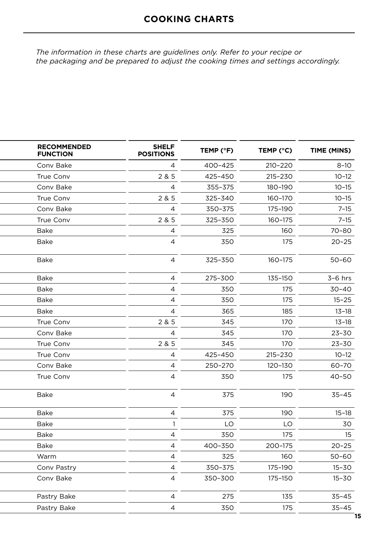*The information in these charts are guidelines only. Refer to your recipe or the packaging and be prepared to adjust the cooking times and settings accordingly.*

| <b>RECOMMENDED</b><br><b>FUNCTION</b> | <b>SHELF</b><br><b>POSITIONS</b> | TEMP (°F) | TEMP (°C) | TIME (MINS) |
|---------------------------------------|----------------------------------|-----------|-----------|-------------|
| Conv Bake                             | 4                                | 400-425   | 210-220   | $8 - 10$    |
| <b>True Conv</b>                      | 2 & 5                            | 425-450   | 215-230   | $10 - 12$   |
| Conv Bake                             | $\overline{4}$                   | 355-375   | 180-190   | $10 - 15$   |
| <b>True Conv</b>                      | 2 & 5                            | 325-340   | 160-170   | $10 - 15$   |
| Conv Bake                             | $\overline{4}$                   | 350-375   | 175-190   | $7 - 15$    |
| True Conv                             | 2 & 5                            | 325-350   | 160-175   | $7 - 15$    |
| <b>Bake</b>                           | $\overline{4}$                   | 325       | 160       | $70 - 80$   |
| <b>Bake</b>                           | $\overline{4}$                   | 350       | 175       | $20 - 25$   |
| <b>Bake</b>                           | $\overline{4}$                   | 325-350   | 160-175   | $50 - 60$   |
| <b>Bake</b>                           | 4                                | 275-300   | 135-150   | $3-6$ hrs   |
| <b>Bake</b>                           | 4                                | 350       | 175       | $30 - 40$   |
| <b>Bake</b>                           | 4                                | 350       | 175       | $15 - 25$   |
| <b>Bake</b>                           | $\overline{4}$                   | 365       | 185       | $13 - 18$   |
| True Conv                             | 2 & 5                            | 345       | 170       | $13 - 18$   |
| Conv Bake                             | 4                                | 345       | 170       | $23 - 30$   |
| True Conv                             | 2 & 5                            | 345       | 170       | 23-30       |
| <b>True Conv</b>                      | 4                                | 425-450   | 215-230   | $10 - 12$   |
| Conv Bake                             | 4                                | 250-270   | 120-130   | 60-70       |
| True Conv                             | $\overline{4}$                   | 350       | 175       | $40 - 50$   |
| <b>Bake</b>                           | $\overline{4}$                   | 375       | 190       | $35 - 45$   |
| <b>Bake</b>                           | 4                                | 375       | 190       | $15 - 18$   |
| <b>Bake</b>                           | $\mathbf{1}$                     | LO        | LO        | 30          |
| <b>Bake</b>                           | 4                                | 350       | 175       | 15          |
| <b>Bake</b>                           | 4                                | 400-350   | 200-175   | $20 - 25$   |
| Warm                                  | 4                                | 325       | 160       | $50 - 60$   |
| Conv Pastry                           | 4                                | 350-375   | 175-190   | $15 - 30$   |
| Conv Bake                             | $\overline{4}$                   | 350-300   | 175-150   | $15 - 30$   |
| Pastry Bake                           | $\overline{4}$                   | 275       | 135       | $35 - 45$   |
| Pastry Bake                           | $\overline{4}$                   | 350       | 175       | $35 - 45$   |
|                                       |                                  |           |           |             |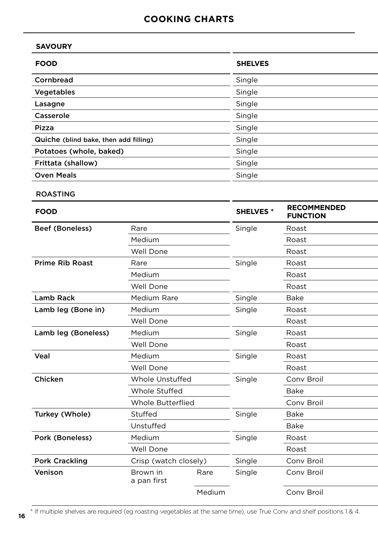### **COOKING CHARTS**

| <b>SHELVES</b> |
|----------------|
| Single         |
| Single         |
| Single         |
| Single         |
| Single         |
| Single         |
| Single         |
| Single         |
| Single         |
|                |

ROASTING

**16**

| <b>FOOD</b>            |                          |        | <b>SHELVES*</b> | <b>RECOMMENDED</b><br><b>FUNCTION</b> |
|------------------------|--------------------------|--------|-----------------|---------------------------------------|
| <b>Beef (Boneless)</b> | Rare                     |        | Single          | Roast                                 |
|                        | Medium                   |        |                 | Roast                                 |
|                        | Well Done                |        |                 | Roast                                 |
| <b>Prime Rib Roast</b> | Rare                     |        | Single          | Roast                                 |
|                        | Medium                   |        |                 | Roast                                 |
|                        | Well Done                |        |                 | Roast                                 |
| Lamb Rack              | Medium Rare              |        | Single          | Bake                                  |
| Lamb leg (Bone in)     | Medium                   |        | Single          | Roast                                 |
|                        | Well Done                |        |                 | Roast                                 |
| Lamb leg (Boneless)    | Medium                   |        | Single          | Roast                                 |
|                        | Well Done                |        |                 | Roast                                 |
| Veal                   | Medium                   |        | Single          | Roast                                 |
|                        | Well Done                |        |                 | Roast                                 |
| Chicken                | Whole Unstuffed          |        | Single          | Conv Broil                            |
|                        | <b>Whole Stuffed</b>     |        |                 | <b>Bake</b>                           |
|                        | <b>Whole Butterflied</b> |        |                 | Conv Broil                            |
| Turkey (Whole)         | Stuffed                  |        | Single          | <b>Bake</b>                           |
|                        | Unstuffed                |        |                 | <b>Bake</b>                           |
| Pork (Boneless)        | Medium                   |        | Single          | Roast                                 |
|                        | Well Done                |        |                 | Roast                                 |
| <b>Pork Crackling</b>  | Crisp (watch closely)    |        | Single          | Conv Broil                            |
| Venison                | Brown in<br>a pan first  | Rare   | Single          | Conv Broil                            |
|                        |                          | Medium |                 | Conv Broil                            |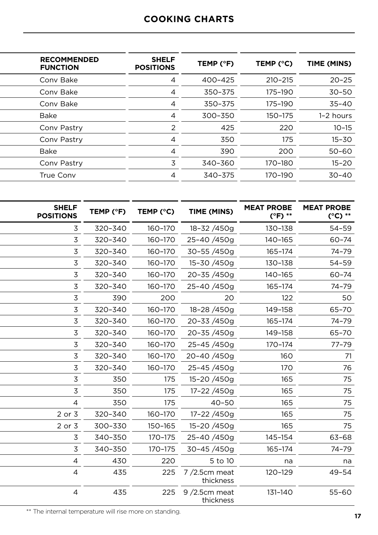### **COOKING CHARTS**

| <b>SHELF</b><br><b>POSITIONS</b> | TEMP (°F) | TEMP (°C)   | TIME (MINS) |
|----------------------------------|-----------|-------------|-------------|
| 4                                | 400-425   | $210 - 215$ | $20 - 25$   |
| 4                                | 350-375   | 175-190     | $30 - 50$   |
| 4                                | 350-375   | 175-190     | $35 - 40$   |
| 4                                | 300-350   | 150-175     | 1-2 hours   |
| 2                                | 425       | 220         | $10 - 15$   |
| 4                                | 350       | 175         | $15 - 30$   |
| 4                                | 390       | 200         | $50 - 60$   |
| 3                                | 340-360   | 170-180     | $15 - 20$   |
| 4                                | 340-375   | 170-190     | $30 - 40$   |
|                                  |           |             |             |

| <b>SHELF</b><br><b>POSITIONS</b> | TEMP (°F) | TEMP (°C) | TIME (MINS)                  | <b>MEAT PROBE</b><br>(°F) ** | <b>MEAT PROBE</b><br>$(^{\circ}C)$ ** |
|----------------------------------|-----------|-----------|------------------------------|------------------------------|---------------------------------------|
| 3                                | 320-340   | 160-170   | 18-32/450g                   | 130-138                      | 54-59                                 |
| 3                                | 320-340   | 160-170   | 25-40/450g                   | 140-165                      | $60 - 74$                             |
| 3                                | 320-340   | 160-170   | 30-55/450g                   | 165-174                      | 74-79                                 |
| 3                                | 320-340   | 160-170   | 15-30 /450g                  | 130-138                      | 54-59                                 |
| 3                                | 320-340   | 160-170   | 20-35/450g                   | 140-165                      | $60 - 74$                             |
| 3                                | 320-340   | 160-170   | 25-40/450g                   | 165-174                      | 74-79                                 |
| 3                                | 390       | 200       | 20                           | 122                          | 50                                    |
| 3                                | 320-340   | 160-170   | 18-28/450g                   | 149-158                      | 65-70                                 |
| 3                                | 320-340   | 160-170   | 20-33/450g                   | 165-174                      | 74-79                                 |
| 3                                | 320-340   | 160-170   | 20-35/450g                   | 149-158                      | 65-70                                 |
| 3                                | 320-340   | 160-170   | 25-45/450g                   | 170-174                      | $77 - 79$                             |
| 3                                | 320-340   | 160-170   | 20-40/450g                   | 160                          | 71                                    |
| 3                                | 320-340   | 160-170   | 25-45/450g                   | 170                          | 76                                    |
| 3                                | 350       | 175       | 15-20 /450g                  | 165                          | 75                                    |
| $\mathsf 3$                      | 350       | 175       | 17-22 /450g                  | 165                          | 75                                    |
| $\overline{4}$                   | 350       | 175       | $40 - 50$                    | 165                          | 75                                    |
| 2 or 3                           | 320-340   | 160-170   | 17-22 /450g                  | 165                          | 75                                    |
| 2 or 3                           | 300-330   | 150-165   | 15-20 /450g                  | 165                          | 75                                    |
| 3                                | 340-350   | 170-175   | 25-40 /450g                  | 145-154                      | 63-68                                 |
| 3                                | 340-350   | 170-175   | 30-45/450g                   | 165-174                      | 74-79                                 |
| 4                                | 430       | 220       | 5 to 10                      | na                           | na                                    |
| $\overline{a}$                   | 435       | 225       | $7/2.5$ cm meat<br>thickness | 120-129                      | $49 - 54$                             |
| 4                                | 435       | 225       | $9/2.5$ cm meat<br>thickness | 131-140                      | $55 - 60$                             |

\*\* The internal temperature will rise more on standing.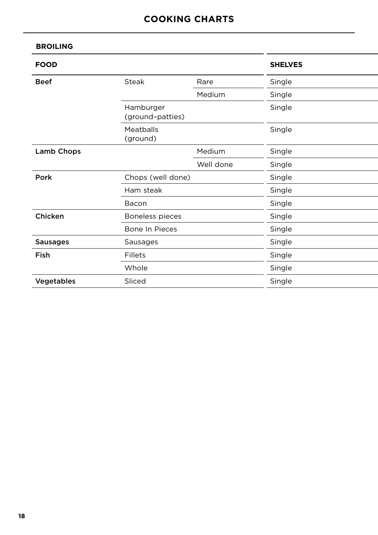#### **BROILING**

| <b>FOOD</b>     |                               |           | <b>SHELVES</b> |
|-----------------|-------------------------------|-----------|----------------|
| <b>Beef</b>     | <b>Steak</b>                  | Rare      | Single         |
|                 |                               | Medium    | Single         |
|                 | Hamburger<br>(ground-patties) |           | Single         |
|                 | Meatballs<br>(ground)         |           | Single         |
| Lamb Chops      |                               | Medium    | Single         |
|                 |                               | Well done | Single         |
| Pork            | Chops (well done)             |           | Single         |
|                 | Ham steak                     |           | Single         |
|                 | Bacon                         |           | Single         |
| Chicken         | Boneless pieces               |           | Single         |
|                 | Bone In Pieces                |           | Single         |
| <b>Sausages</b> | Sausages                      |           | Single         |
| Fish            | Fillets                       |           | Single         |
|                 | Whole                         |           | Single         |
| Vegetables      | Sliced                        |           | Single         |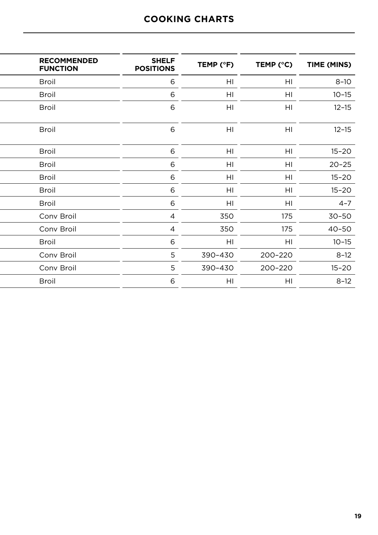### **COOKING CHARTS**

| <b>RECOMMENDED</b><br><b>FUNCTION</b> | <b>SHELF</b><br><b>POSITIONS</b> | TEMP (°F) | TEMP (°C)      | TIME (MINS) |
|---------------------------------------|----------------------------------|-----------|----------------|-------------|
| <b>Broil</b>                          | 6                                | HI        | HI             | $8 - 10$    |
| <b>Broil</b>                          | 6                                | HI        | HI             | $10 - 15$   |
| <b>Broil</b>                          | 6                                | HI        | HI             | $12 - 15$   |
| <b>Broil</b>                          | 6                                | HI        | H <sub>l</sub> | $12 - 15$   |
| <b>Broil</b>                          | 6                                | HI        | HI             | $15 - 20$   |
| <b>Broil</b>                          | 6                                | HI        | HI             | $20 - 25$   |
| <b>Broil</b>                          | 6                                | HI        | HI             | $15 - 20$   |
| <b>Broil</b>                          | 6                                | HI        | HI             | $15 - 20$   |
| <b>Broil</b>                          | 6                                | HI        | HI             | $4 - 7$     |
| Conv Broil                            | 4                                | 350       | 175            | $30 - 50$   |
| Conv Broil                            | 4                                | 350       | 175            | $40 - 50$   |
| <b>Broil</b>                          | 6                                | HI        | HI             | $10 - 15$   |
| Conv Broil                            | 5                                | 390-430   | 200-220        | $8 - 12$    |
| Conv Broil                            | 5                                | 390-430   | 200-220        | $15 - 20$   |
| <b>Broil</b>                          | 6                                | HI        | HI             | $8 - 12$    |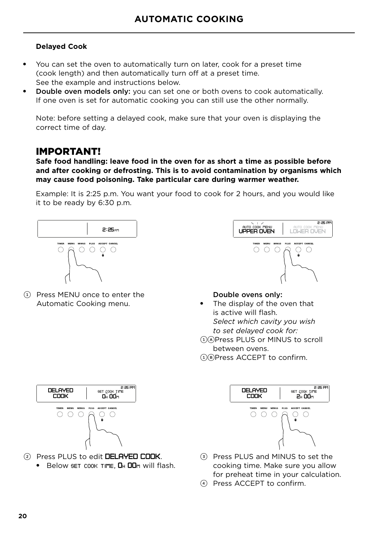#### **Delayed Cook**

- You can set the oven to automatically turn on later, cook for a preset time (cook length) and then automatically turn off at a preset time. See the example and instructions below.
- **Double oven models only:** you can set one or both ovens to cook automatically. If one oven is set for automatic cooking you can still use the other normally.

Note: before setting a delayed cook, make sure that your oven is displaying the correct time of day.

### IMPORTANT!

**Safe food handling: leave food in the oven for as short a time as possible before and after cooking or defrosting. This is to avoid contamination by organisms which may cause food poisoning. Take particular care during warmer weather.**

Example: It is 2:25 p.m. You want your food to cook for 2 hours, and you would like it to be ready by 6:30 p.m.



1 Press MENU once to enter the Automatic Cooking menu.



#### Double ovens only:

The display of the oven that is active will flash. *Select which cavity you wish to set delayed cook for:* 1APress PLUS or MINUS to scroll between ovens.

1BPress ACCEPT to confirm.



- 2 Press PLUS to edit DELAYED COOK.
	- Below set cook time, **DH DD**m will flash.



- 3 Press PLUS and MINUS to set the cooking time. Make sure you allow for preheat time in your calculation.
- 4 Press ACCEPT to confirm.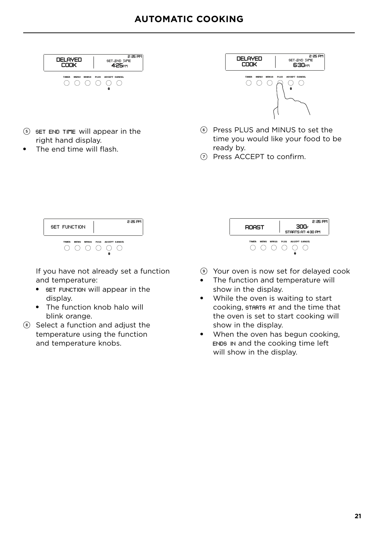

- <sup>5</sup> set end time will appear in the right hand display.
- The end time will flash.



- 6 Press PLUS and MINUS to set the time you would like your food to be ready by.
- 7 Press ACCEPT to confirm.



If you have not already set a function and temperature:

- set function will appear in the display.
- The function knob halo will blink orange.
- 8 Select a function and adjust the temperature using the function and temperature knobs.

| <b>BOAST</b> |      |              |      | 300F<br>STARTS AT: 4:30 PM | 2:25 PM |
|--------------|------|--------------|------|----------------------------|---------|
| <b>TIMER</b> | MENU | <b>MINUS</b> | PLUS | ACCEPT CANCEL              |         |
|              |      |              |      |                            |         |
|              |      |              |      |                            |         |

- 9 Your oven is now set for delayed cook
- The function and temperature will show in the display.
- While the oven is waiting to start cooking, starts at and the time that the oven is set to start cooking will show in the display.
- When the oven has begun cooking, ends in and the cooking time left will show in the display.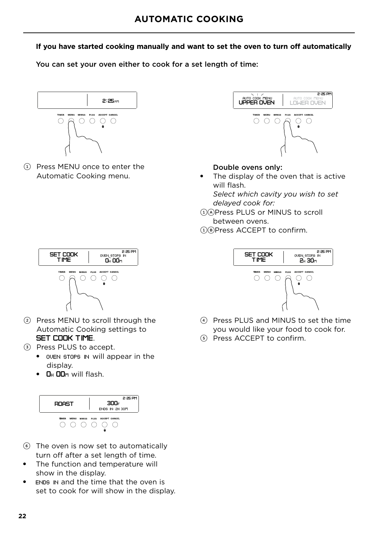#### **If you have started cooking manually and want to set the oven to turn off automatically**

You can set your oven either to cook for a set length of time:



1 Press MENU once to enter the Automatic Cooking menu.



#### Double ovens only:

● The display of the oven that is active will flash. *Select which cavity you wish to set* 

*delayed cook for:* 1APress PLUS or MINUS to scroll between ovens.



1BPress ACCEPT to confirm.



- 4 Press PLUS and MINUS to set the time you would like your food to cook for.
- 5 Press ACCEPT to confirm.



- 2 Press MENU to scroll through the Automatic Cooking settings to SET COOK TIME.
- 3 Press PLUS to accept.
	- oven stops in will appear in the display.
	- DH DDm will flash.



- 6 The oven is now set to automatically turn off after a set length of time.
- The function and temperature will show in the display.
- ENDS IN and the time that the oven is set to cook for will show in the display.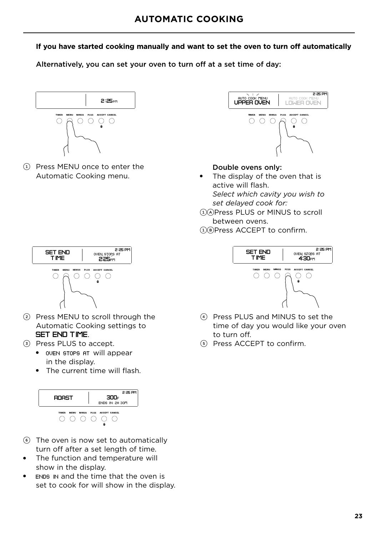#### **If you have started cooking manually and want to set the oven to turn off automatically**

Alternatively, you can set your oven to turn off at a set time of day:



1 Press MENU once to enter the Automatic Cooking menu.



#### Double ovens only:

- The display of the oven that is active will flash. *Select which cavity you wish to set delayed cook for:*
- 1APress PLUS or MINUS to scroll between ovens. 1BPress ACCEPT to confirm.



- 2 Press MENU to scroll through the Automatic Cooking settings to SET END TIME.
- 3 Press PLUS to accept.
	- oven stops at will appear in the display.
	- The current time will flash.



- 6 The oven is now set to automatically turn off after a set length of time.
- The function and temperature will show in the display.
- ENDS IN and the time that the oven is set to cook for will show in the display.



- 4 Press PLUS and MINUS to set the time of day you would like your oven to turn off.
- 5 Press ACCEPT to confirm.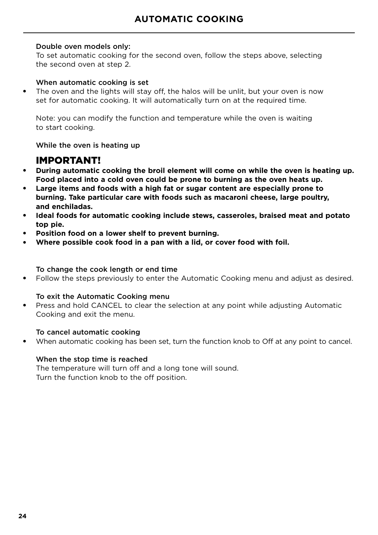#### Double oven models only:

To set automatic cooking for the second oven, follow the steps above, selecting the second oven at step 2.

#### When automatic cooking is set

The oven and the lights will stay off, the halos will be unlit, but your oven is now set for automatic cooking. It will automatically turn on at the required time.

Note: you can modify the function and temperature while the oven is waiting to start cooking.

While the oven is heating up

### IMPORTANT!

- **During automatic cooking the broil element will come on while the oven is heating up. Food placed into a cold oven could be prone to burning as the oven heats up.**
- **Large items and foods with a high fat or sugar content are especially prone to burning. Take particular care with foods such as macaroni cheese, large poultry, and enchiladas.**
- **Ideal foods for automatic cooking include stews, casseroles, braised meat and potato top pie.**
- **Position food on a lower shelf to prevent burning.**
- Where possible cook food in a pan with a lid, or cover food with foil.

#### To change the cook length or end time

● Follow the steps previously to enter the Automatic Cooking menu and adjust as desired.

#### To exit the Automatic Cooking menu

Press and hold CANCEL to clear the selection at any point while adjusting Automatic Cooking and exit the menu.

#### To cancel automatic cooking

When automatic cooking has been set, turn the function knob to Off at any point to cancel.

#### When the stop time is reached

The temperature will turn off and a long tone will sound. Turn the function knob to the off position.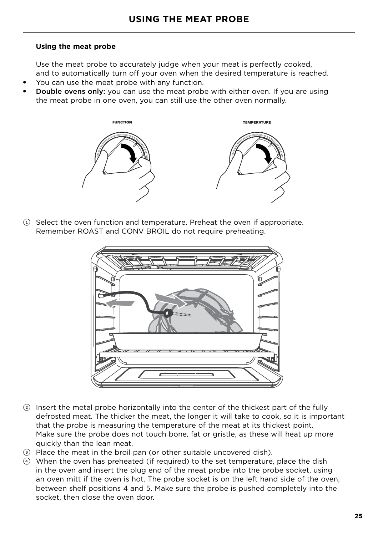#### **Using the meat probe**

Use the meat probe to accurately judge when your meat is perfectly cooked, and to automatically turn off your oven when the desired temperature is reached.

- You can use the meat probe with any function.
- **Double ovens only:** you can use the meat probe with either oven. If you are using the meat probe in one oven, you can still use the other oven normally.



 $\Omega$  Select the oven function and temperature. Preheat the oven if appropriate. Remember ROAST and CONV BROIL do not require preheating.



- 2 Insert the metal probe horizontally into the center of the thickest part of the fully defrosted meat. The thicker the meat, the longer it will take to cook, so it is important that the probe is measuring the temperature of the meat at its thickest point. Make sure the probe does not touch bone, fat or gristle, as these will heat up more quickly than the lean meat.
- 3 Place the meat in the broil pan (or other suitable uncovered dish).
- 4 When the oven has preheated (if required) to the set temperature, place the dish in the oven and insert the plug end of the meat probe into the probe socket, using an oven mitt if the oven is hot. The probe socket is on the left hand side of the oven, between shelf positions 4 and 5. Make sure the probe is pushed completely into the socket, then close the oven door.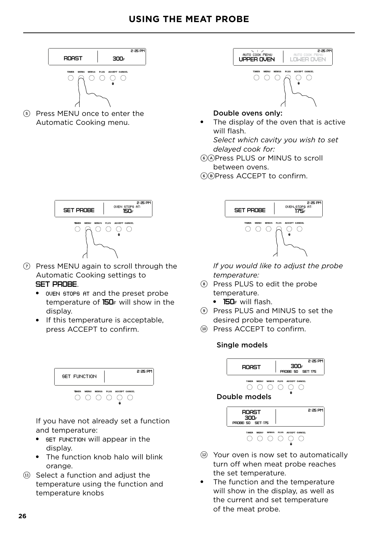

5 Press MENU once to enter the Automatic Cooking menu.



### Double ovens only:

The display of the oven that is active will flash.

*Select which cavity you wish to set delayed cook for:*

6APress PLUS or MINUS to scroll between ovens.

6BPress ACCEPT to confirm.



- 7 Press MENU again to scroll through the Automatic Cooking settings to SET PROBE.
	- oven stops at and the preset probe temperature of 150<sub>F</sub> will show in the display.
	- If this temperature is acceptable, press ACCEPT to confirm.



If you have not already set a function and temperature:

- set function will appear in the display.
- The function knob halo will blink orange.
- $(1)$  Select a function and adjust the temperature using the function and temperature knobs



*If you would like to adjust the probe temperature:*

- 8 Press PLUS to edit the probe temperature.
	- 150<sub>F</sub> will flash.
- 9 Press PLUS and MINUS to set the desired probe temperature.
- !0 Press ACCEPT to confirm.

#### Single models



Double models



- (12) Your oven is now set to automatically turn off when meat probe reaches the set temperature.
- The function and the temperature will show in the display, as well as the current and set temperature of the meat probe.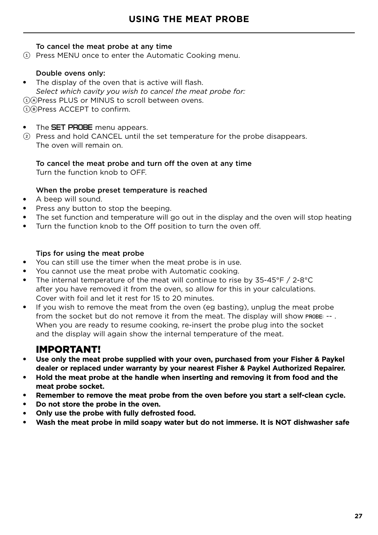#### To cancel the meat probe at any time

 $(i)$  Press MENU once to enter the Automatic Cooking menu.

#### Double ovens only:

- The display of the oven that is active will flash. *Select which cavity you wish to cancel the meat probe for:* 1APress PLUS or MINUS to scroll between ovens. 1BPress ACCEPT to confirm.
- The **SET PROBE** menu appears.
- 2 Press and hold CANCEL until the set temperature for the probe disappears. The oven will remain on.

#### To cancel the meat probe and turn off the oven at any time Turn the function knob to OFF.

#### When the probe preset temperature is reached

- A beep will sound.
- Press any button to stop the beeping.
- The set function and temperature will go out in the display and the oven will stop heating
- Turn the function knob to the Off position to turn the oven off.

#### Tips for using the meat probe

- You can still use the timer when the meat probe is in use.
- You cannot use the meat probe with Automatic cooking.
- The internal temperature of the meat will continue to rise by  $35-45^{\circ}F / 2-8^{\circ}C$ after you have removed it from the oven, so allow for this in your calculations. Cover with foil and let it rest for 15 to 20 minutes.
- If you wish to remove the meat from the oven (eg basting), unplug the meat probe from the socket but do not remove it from the meat. The display will show PROBE: --. When you are ready to resume cooking, re-insert the probe plug into the socket and the display will again show the internal temperature of the meat.

### IMPORTANT!

- **Use only the meat probe supplied with your oven, purchased from your Fisher & Paykel dealer or replaced under warranty by your nearest Fisher & Paykel Authorized Repairer.**
- **Hold the meat probe at the handle when inserting and removing it from food and the meat probe socket.**
- Remember to remove the meat probe from the oven before you start a self-clean cycle.
- Do not store the probe in the oven.
- **Only use the probe with fully defrosted food.**
- Wash the meat probe in mild soapy water but do not immerse. It is NOT dishwasher safe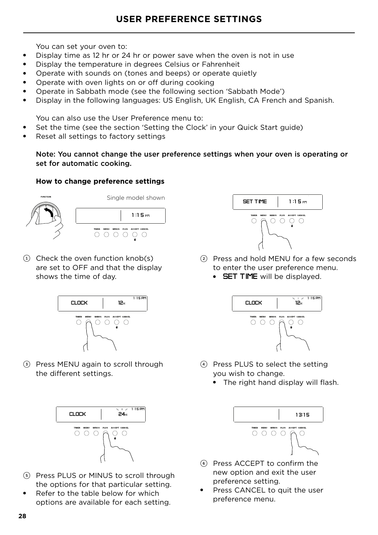You can set your oven to:

- Display time as 12 hr or 24 hr or power save when the oven is not in use
- Display the temperature in degrees Celsius or Fahrenheit
- Operate with sounds on (tones and beeps) or operate quietly
- Operate with oven lights on or off during cooking
- Operate in Sabbath mode (see the following section 'Sabbath Mode')
- Display in the following languages: US English, UK English, CA French and Spanish.

You can also use the User Preference menu to:

- Set the time (see the section 'Setting the Clock' in your Quick Start guide)
- Reset all settings to factory settings

Note: You cannot change the user preference settings when your oven is operating or set for automatic cooking.

#### **How to change preference settings**



 $(1)$  Check the oven function knob(s) are set to OFF and that the display shows the time of day.



3 Press MENU again to scroll through the different settings.



- 5 Press PLUS or MINUS to scroll through the options for that particular setting.
- Refer to the table below for which options are available for each setting.



- 2 Press and hold MENU for a few seconds to enter the user preference menu.
	- **SET TIME** will be displayed.



- 4 Press PLUS to select the setting you wish to change.
	- The right hand display will flash.



- 6 Press ACCEPT to confirm the new option and exit the user preference setting.
- Press CANCEL to quit the user preference menu.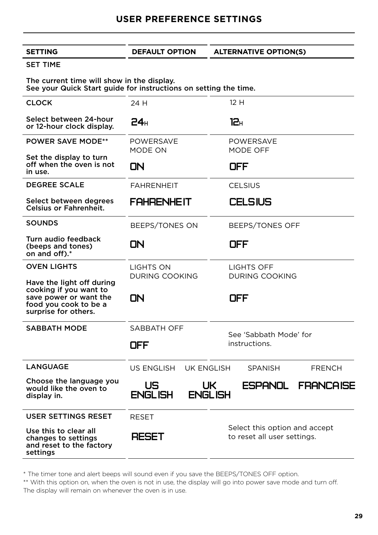**SETTING DEFAULT OPTION ALTERNATIVE OPTION(S)** 

#### SET TIME

The current time will show in the display. See your Quick Start guide for instructions on setting the time.

| <b>CLOCK</b>                                                                                                                   | 24 H                                         | 12H                                                          |
|--------------------------------------------------------------------------------------------------------------------------------|----------------------------------------------|--------------------------------------------------------------|
| Select between 24-hour<br>or 12-hour clock display.                                                                            | 24 <sub>H</sub>                              | 12н                                                          |
| <b>POWER SAVE MODE**</b>                                                                                                       | <b>POWERSAVE</b><br>MODE ON                  | <b>POWERSAVE</b><br>MODE OFF                                 |
| Set the display to turn<br>off when the oven is not<br>in use.                                                                 | OΝ                                           | OFF                                                          |
| <b>DEGREE SCALE</b>                                                                                                            | <b>FAHRENHEIT</b>                            | <b>CELSIUS</b>                                               |
| Select between degrees<br><b>Celsius or Fahrenheit.</b>                                                                        | FAHRENHEIT                                   | <b>CELSIUS</b>                                               |
| <b>SOUNDS</b>                                                                                                                  | BEEPS/TONES ON                               | <b>BEEPS/TONES OFF</b>                                       |
| Turn audio feedback<br>(beeps and tones)<br>on and off).*                                                                      | OΝ                                           | OFF                                                          |
| <b>OVEN LIGHTS</b>                                                                                                             | LIGHTS ON                                    | LIGHTS OFF                                                   |
| Have the light off during<br>cooking if you want to<br>save power or want the<br>food you cook to be a<br>surprise for others. | <b>DURING COOKING</b><br>OΝ                  | <b>DURING COOKING</b><br>OFF                                 |
| <b>SABBATH MODE</b>                                                                                                            | SABBATH OFF                                  | See 'Sabbath Mode' for                                       |
|                                                                                                                                | OFF                                          | instructions.                                                |
| <b>LANGUAGE</b>                                                                                                                | US ENGLISH<br>UK ENGLISH                     | <b>SPANISH</b><br><b>FRENCH</b>                              |
| Choose the language you<br>would like the oven to<br>display in.                                                               | US<br>UK<br><b>ENGLISH</b><br><b>ENGLISH</b> | ESPANOL<br><b>FRANCAISE</b>                                  |
| USER SETTINGS RESET                                                                                                            | RESET                                        |                                                              |
| Use this to clear all<br>changes to settings<br>and reset to the factory<br>settings                                           | RESET                                        | Select this option and accept<br>to reset all user settings. |

\* The timer tone and alert beeps will sound even if you save the BEEPS/TONES OFF option.

\*\* With this option on, when the oven is not in use, the display will go into power save mode and turn off. The display will remain on whenever the oven is in use.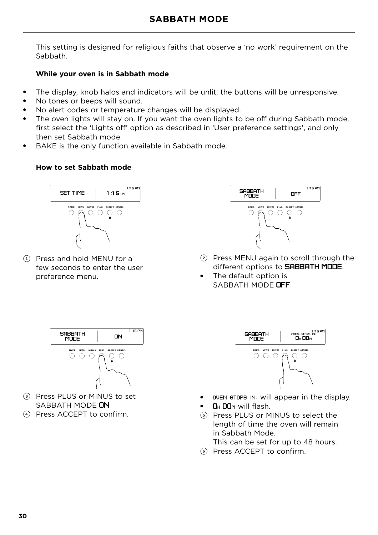This setting is designed for religious faiths that observe a 'no work' requirement on the Sabbath.

#### **While your oven is in Sabbath mode**

- The display, knob halos and indicators will be unlit, the buttons will be unresponsive.
- No tones or beeps will sound.
- No alert codes or temperature changes will be displayed.
- The oven lights will stay on. If you want the oven lights to be off during Sabbath mode, first select the 'Lights off' option as described in 'User preference settings', and only then set Sabbath mode.
- BAKE is the only function available in Sabbath mode.

#### **How to set Sabbath mode**



1 Press and hold MENU for a few seconds to enter the user preference menu.



- 2 Press MENU again to scroll through the different options to **SABBATH MODE.**
- The default option is SABBATH MODE **OFF**



- 3 Press PLUS or MINUS to set SABBATH MODE **NN**
- 4 Press ACCEPT to confirm.



- oven stops in; will appear in the display.
- **D<sub>H</sub>** DD<sub>M</sub> will flash.
- 5 Press PLUS or MINUS to select the length of time the oven will remain in Sabbath Mode.
	- This can be set for up to 48 hours.
- 6 Press ACCEPT to confirm.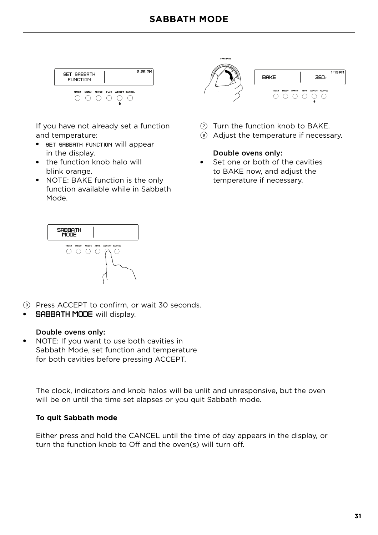

If you have not already set a function and temperature:

- SET SABBATH FUNCTION will appear in the display.
- the function knob halo will blink orange.
- NOTE: BAKE function is the only function available while in Sabbath Mode.



- $(7)$  Turn the function knob to BAKE.
- 8 Adjust the temperature if necessary.

#### Double ovens only:

Set one or both of the cavities to BAKE now, and adjust the temperature if necessary.



- 9 Press ACCEPT to confirm, or wait 30 seconds.
- **SABBATH MODE** will display.

#### Double ovens only:

● NOTE: If you want to use both cavities in Sabbath Mode, set function and temperature for both cavities before pressing ACCEPT.

The clock, indicators and knob halos will be unlit and unresponsive, but the oven will be on until the time set elapses or you quit Sabbath mode.

#### **To quit Sabbath mode**

Either press and hold the CANCEL until the time of day appears in the display, or turn the function knob to Off and the oven(s) will turn off.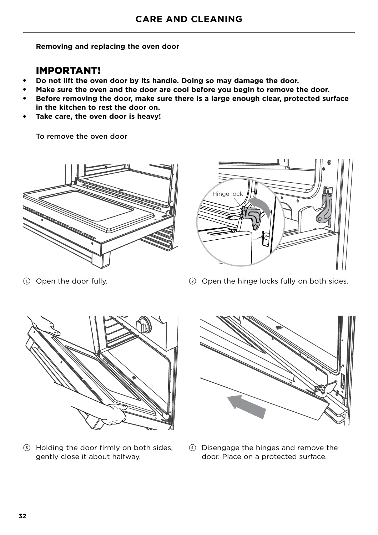**Removing and replacing the oven door**

### IMPORTANT!

- **Do not lift the oven door by its handle. Doing so may damage the door.**
- Make sure the oven and the door are cool before you begin to remove the door.
- Before removing the door, make sure there is a large enough clear, protected surface **in the kitchen to rest the door on.**
- Take care, the oven door is heavy!

To remove the oven door





1 Open the door fully.

2 Open the hinge locks fully on both sides.



3 Holding the door firmly on both sides, gently close it about halfway.



4 Disengage the hinges and remove the door. Place on a protected surface.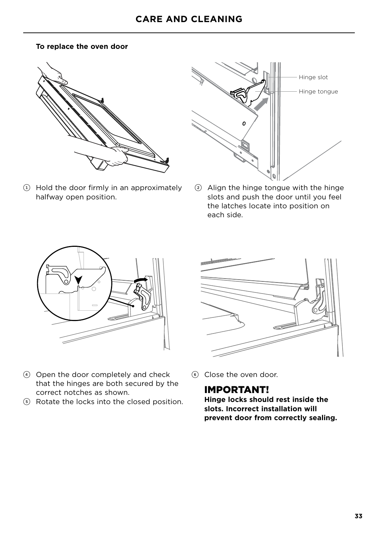#### **To replace the oven door**



1 Hold the door firmly in an approximately halfway open position.



2 Align the hinge tongue with the hinge slots and push the door until you feel the latches locate into position on each side.





- 4 Open the door completely and check that the hinges are both secured by the correct notches as shown.
- 5 Rotate the locks into the closed position.
- 6 Close the oven door.

### IMPORTANT!

**Hinge locks should rest inside the slots. Incorrect installation will prevent door from correctly sealing.**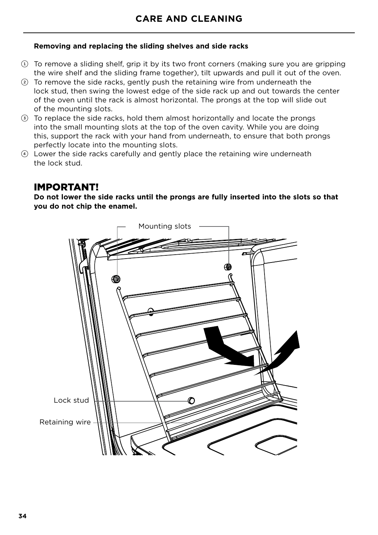#### **Removing and replacing the sliding shelves and side racks**

- 1 To remove a sliding shelf, grip it by its two front corners (making sure you are gripping the wire shelf and the sliding frame together), tilt upwards and pull it out of the oven.
- 2 To remove the side racks, gently push the retaining wire from underneath the lock stud, then swing the lowest edge of the side rack up and out towards the center of the oven until the rack is almost horizontal. The prongs at the top will slide out of the mounting slots.
- 3 To replace the side racks, hold them almost horizontally and locate the prongs into the small mounting slots at the top of the oven cavity. While you are doing this, support the rack with your hand from underneath, to ensure that both prongs perfectly locate into the mounting slots.
- 4 Lower the side racks carefully and gently place the retaining wire underneath the lock stud.

### IMPORTANT!

**Do not lower the side racks until the prongs are fully inserted into the slots so that you do not chip the enamel.**

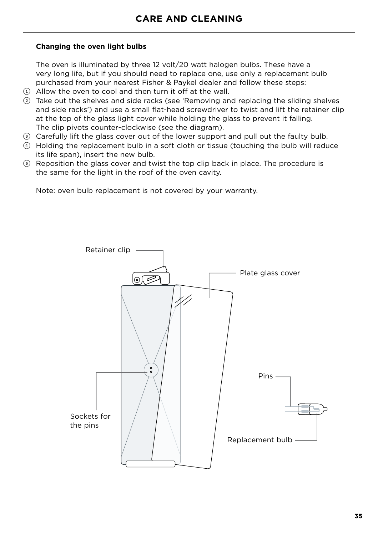#### **Changing the oven light bulbs**

The oven is illuminated by three 12 volt/20 watt halogen bulbs. These have a very long life, but if you should need to replace one, use only a replacement bulb purchased from your nearest Fisher & Paykel dealer and follow these steps:

- $(i)$  Allow the oven to cool and then turn it off at the wall.
- 2 Take out the shelves and side racks (see 'Removing and replacing the sliding shelves and side racks') and use a small flat-head screwdriver to twist and lift the retainer clip at the top of the glass light cover while holding the glass to prevent it falling. The clip pivots counter-clockwise (see the diagram).
- 3 Carefully lift the glass cover out of the lower support and pull out the faulty bulb.
- 4 Holding the replacement bulb in a soft cloth or tissue (touching the bulb will reduce its life span), insert the new bulb.
- 5 Reposition the glass cover and twist the top clip back in place. The procedure is the same for the light in the roof of the oven cavity.

Note: oven bulb replacement is not covered by your warranty.

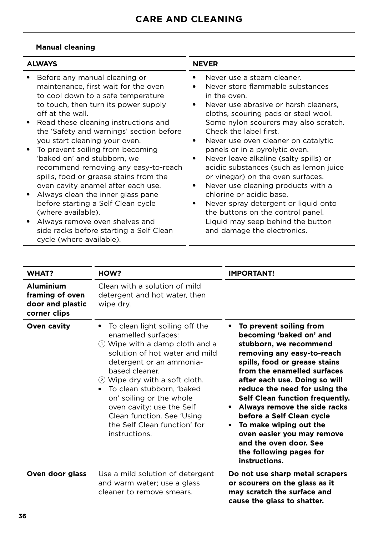#### **Manual cleaning**

| <b>ALWAYS</b> |                                                                                                                                                                                                                 | <b>NEVER</b> |                                                                                                                                                                                                          |  |
|---------------|-----------------------------------------------------------------------------------------------------------------------------------------------------------------------------------------------------------------|--------------|----------------------------------------------------------------------------------------------------------------------------------------------------------------------------------------------------------|--|
|               | Before any manual cleaning or<br>maintenance, first wait for the oven<br>to cool down to a safe temperature<br>to touch, then turn its power supply<br>off at the wall.<br>Read these cleaning instructions and |              | Never use a steam cleaner.<br>Never store flammable substances<br>in the oven.<br>Never use abrasive or harsh cleaners,<br>cloths, scouring pads or steel wool.<br>Some nylon scourers may also scratch. |  |
|               | the 'Safety and warnings' section before<br>you start cleaning your oven.<br>To prevent soiling from becoming<br>'baked on' and stubborn, we                                                                    | ٠            | Check the label first.<br>Never use oven cleaner on catalytic<br>panels or in a pyrolytic oven.<br>Never leave alkaline (salty spills) or                                                                |  |
|               | recommend removing any easy-to-reach<br>spills, food or grease stains from the<br>oven cavity enamel after each use.                                                                                            |              | acidic substances (such as lemon juice<br>or vinegar) on the oven surfaces.<br>Never use cleaning products with a                                                                                        |  |
|               | Always clean the inner glass pane<br>before starting a Self Clean cycle<br>(where available).                                                                                                                   | ٠            | chlorine or acidic base.<br>Never spray detergent or liquid onto<br>the buttons on the control panel.                                                                                                    |  |
|               | Always remove oven shelves and<br>side racks before starting a Self Clean<br>cycle (where available).                                                                                                           |              | Liquid may seep behind the button<br>and damage the electronics.                                                                                                                                         |  |

| WHAT?                                                                   | HOW?                                                                                                                                                                                                                                                                                                                                                                           | <b>IMPORTANT!</b>                                                                                                                                                                                                                                                                                                                                                                                                                                                          |
|-------------------------------------------------------------------------|--------------------------------------------------------------------------------------------------------------------------------------------------------------------------------------------------------------------------------------------------------------------------------------------------------------------------------------------------------------------------------|----------------------------------------------------------------------------------------------------------------------------------------------------------------------------------------------------------------------------------------------------------------------------------------------------------------------------------------------------------------------------------------------------------------------------------------------------------------------------|
| <b>Aluminium</b><br>framing of oven<br>door and plastic<br>corner clips | Clean with a solution of mild<br>detergent and hot water, then<br>wipe dry.                                                                                                                                                                                                                                                                                                    |                                                                                                                                                                                                                                                                                                                                                                                                                                                                            |
| Oven cavity                                                             | To clean light soiling off the<br>enamelled surfaces:<br>1) Wipe with a damp cloth and a<br>solution of hot water and mild<br>detergent or an ammonia-<br>based cleaner.<br>2 Wipe dry with a soft cloth.<br>To clean stubborn, 'baked<br>on' soiling or the whole<br>oven cavity: use the Self<br>Clean function. See 'Using<br>the Self Clean function' for<br>instructions. | To prevent soiling from<br>becoming 'baked on' and<br>stubborn, we recommend<br>removing any easy-to-reach<br>spills, food or grease stains<br>from the enamelled surfaces<br>after each use. Doing so will<br>reduce the need for using the<br>Self Clean function frequently.<br>Always remove the side racks<br>before a Self Clean cycle<br>To make wiping out the<br>oven easier you may remove<br>and the oven door. See<br>the following pages for<br>instructions. |
| Oven door glass                                                         | Use a mild solution of detergent<br>and warm water; use a glass<br>cleaner to remove smears.                                                                                                                                                                                                                                                                                   | Do not use sharp metal scrapers<br>or scourers on the glass as it<br>may scratch the surface and<br>cause the glass to shatter.                                                                                                                                                                                                                                                                                                                                            |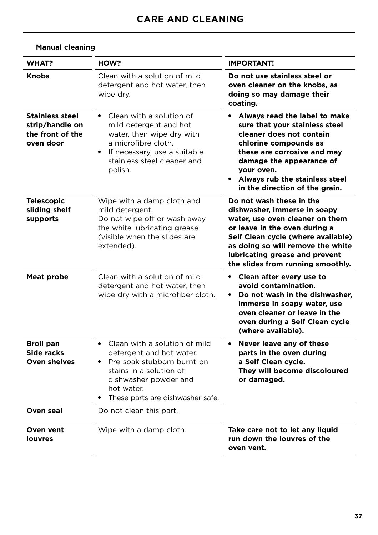| <b>WHAT?</b>                                                               | HOW?                                                                                                                                                                                              | <b>IMPORTANT!</b>                                                                                                                                                                                                                                                                |
|----------------------------------------------------------------------------|---------------------------------------------------------------------------------------------------------------------------------------------------------------------------------------------------|----------------------------------------------------------------------------------------------------------------------------------------------------------------------------------------------------------------------------------------------------------------------------------|
| <b>Knobs</b>                                                               | Clean with a solution of mild<br>detergent and hot water, then<br>wipe dry.                                                                                                                       | Do not use stainless steel or<br>oven cleaner on the knobs, as<br>doing so may damage their<br>coating.                                                                                                                                                                          |
| <b>Stainless steel</b><br>strip/handle on<br>the front of the<br>oven door | • Clean with a solution of<br>mild detergent and hot<br>water, then wipe dry with<br>a microfibre cloth.<br>• If necessary, use a suitable<br>stainless steel cleaner and<br>polish.              | Always read the label to make<br>$\bullet$<br>sure that your stainless steel<br>cleaner does not contain<br>chlorine compounds as<br>these are corrosive and may<br>damage the appearance of<br>your oven.<br>• Always rub the stainless steel<br>in the direction of the grain. |
| <b>Telescopic</b><br>sliding shelf<br>supports                             | Wipe with a damp cloth and<br>mild detergent.<br>Do not wipe off or wash away<br>the white lubricating grease<br>(visible when the slides are<br>extended).                                       | Do not wash these in the<br>dishwasher, immerse in soapy<br>water, use oven cleaner on them<br>or leave in the oven during a<br>Self Clean cycle (where available)<br>as doing so will remove the white<br>lubricating grease and prevent<br>the slides from running smoothly.   |
| <b>Meat probe</b>                                                          | Clean with a solution of mild<br>detergent and hot water, then<br>wipe dry with a microfiber cloth.                                                                                               | Clean after every use to<br>$\bullet$<br>avoid contamination.<br>Do not wash in the dishwasher,<br>$\bullet$<br>immerse in soapy water, use<br>oven cleaner or leave in the<br>oven during a Self Clean cycle<br>(where available).                                              |
| <b>Broil pan</b><br>Side racks<br><b>Oven shelves</b>                      | • Clean with a solution of mild<br>detergent and hot water.<br>• Pre-soak stubborn burnt-on<br>stains in a solution of<br>dishwasher powder and<br>hot water.<br>These parts are dishwasher safe. | Never leave any of these<br>$\bullet$<br>parts in the oven during<br>a Self Clean cycle.<br>They will become discoloured<br>or damaged.                                                                                                                                          |
| Oven seal                                                                  | Do not clean this part.                                                                                                                                                                           |                                                                                                                                                                                                                                                                                  |
| Oven vent<br>louvres                                                       | Wipe with a damp cloth.                                                                                                                                                                           | Take care not to let any liquid<br>run down the louvres of the<br>oven vent.                                                                                                                                                                                                     |

#### **Manual cleaning**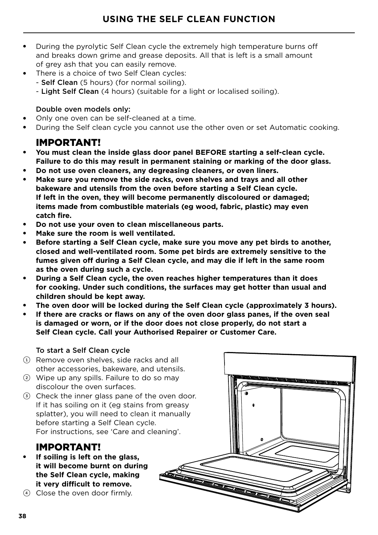- During the pyrolytic Self Clean cycle the extremely high temperature burns off and breaks down grime and grease deposits. All that is left is a small amount of grey ash that you can easily remove.
- There is a choice of two Self Clean cycles:
	- Self Clean (5 hours) (for normal soiling).
	- Light Self Clean (4 hours) (suitable for a light or localised soiling).

#### Double oven models only:

- Only one oven can be self-cleaned at a time.
- During the Self clean cycle you cannot use the other oven or set Automatic cooking.

### IMPORTANT!

- You must clean the inside glass door panel BEFORE starting a self-clean cycle. **Failure to do this may result in permanent staining or marking of the door glass.**
- **Do not use oven cleaners, any degreasing cleaners, or oven liners.**
- Make sure you remove the side racks, oven shelves and trays and all other **bakeware and utensils from the oven before starting a Self Clean cycle. If left in the oven, they will become permanently discoloured or damaged; items made from combustible materials (eg wood, fabric, plastic) may even catch fire.**
- **Do not use your oven to clean miscellaneous parts.**
- **Make sure the room is well ventilated.**
- Before starting a Self Clean cycle, make sure you move any pet birds to another, **closed and well-ventilated room. Some pet birds are extremely sensitive to the fumes given off during a Self Clean cycle, and may die if left in the same room as the oven during such a cycle.**
- **During a Self Clean cycle, the oven reaches higher temperatures than it does for cooking. Under such conditions, the surfaces may get hotter than usual and children should be kept away.**
- The oven door will be locked during the Self Clean cycle (approximately 3 hours).
- If there are cracks or flaws on any of the oven door glass panes, if the oven seal **is damaged or worn, or if the door does not close properly, do not start a Self Clean cycle. Call your Authorised Repairer or Customer Care.**

#### To start a Self Clean cycle

- $(1)$  Remove oven shelves, side racks and all other accessories, bakeware, and utensils.
- 2 Wipe up any spills. Failure to do so may discolour the oven surfaces.
- 3 Check the inner glass pane of the oven door. If it has soiling on it (eg stains from greasy splatter), you will need to clean it manually before starting a Self Clean cycle. For instructions, see 'Care and cleaning'.

### IMPORTANT!

- If soiling is left on the glass, **it will become burnt on during the Self Clean cycle, making it very difficult to remove.**
- 4 Close the oven door firmly.

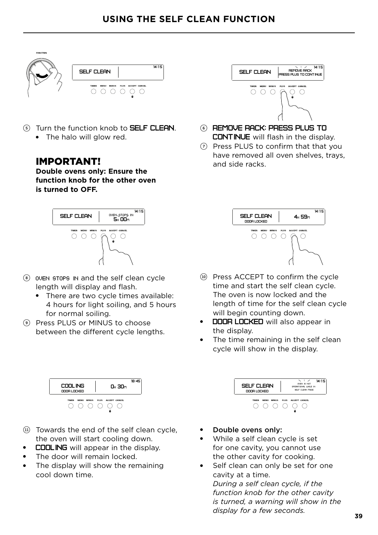

- (5) Turn the function knob to **SELF CLEAN**.
	- The halo will glow red.

### IMPORTANT!

**Double ovens only: Ensure the function knob for the other oven is turned to OFF.**



- <sup>8</sup> oven stops in and the self clean cycle length will display and flash.
	- There are two cycle times available: 4 hours for light soiling, and 5 hours for normal soiling.
- 9 Press PLUS or MINUS to choose between the different cycle lengths.



- (ii) Towards the end of the self clean cycle, the oven will start cooling down.
- **COOLING** will appear in the display.
- The door will remain locked.
- The display will show the remaining cool down time.



- 6 REMOVE RACK: PRESS PLUS TO CONTINUE will flash in the display.
- $\odot$  Press PLUS to confirm that that you have removed all oven shelves, trays, and side racks.



- !0 Press ACCEPT to confirm the cycle time and start the self clean cycle. The oven is now locked and the length of time for the self clean cycle will begin counting down.
- DOOR LOCKED will also appear in the display.
- The time remaining in the self clean cycle will show in the display.



- Double ovens only:
- While a self clean cycle is set for one cavity, you cannot use the other cavity for cooking.
- Self clean can only be set for one cavity at a time. *During a self clean cycle, if the function knob for the other cavity*

*is turned, a warning will show in the display for a few seconds.*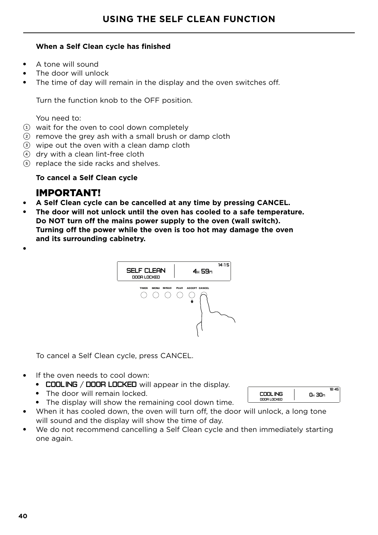#### **When a Self Clean cycle has finished**

- A tone will sound
- The door will unlock
- The time of day will remain in the display and the oven switches off.

Turn the function knob to the OFF position.

You need to:

- $(1)$  wait for the oven to cool down completely
- $(2)$  remove the grey ash with a small brush or damp cloth
- 3 wipe out the oven with a clean damp cloth
- 4 dry with a clean lint-free cloth
- 5 replace the side racks and shelves.

#### **To cancel a Self Clean cycle**

#### IMPORTANT!

- **A Self Clean cycle can be cancelled at any time by pressing CANCEL.**
- **The door will not unlock until the oven has cooled to a safe temperature. Do NOT turn off the mains power supply to the oven (wall switch). Turning off the power while the oven is too hot may damage the oven and its surrounding cabinetry.**



To cancel a Self Clean cycle, press CANCEL.

- If the oven needs to cool down:
	- COOLING / DOOR LOCKED will appear in the display.
	- The door will remain locked.
	- The display will show the remaining cool down time.
- When it has cooled down, the oven will turn off, the door will unlock, a long tone will sound and the display will show the time of day.
- We do not recommend cancelling a Self Clean cycle and then immediately starting one again.

| COOL ING    | n. 30 |
|-------------|-------|
| DOOR LOCKED |       |

●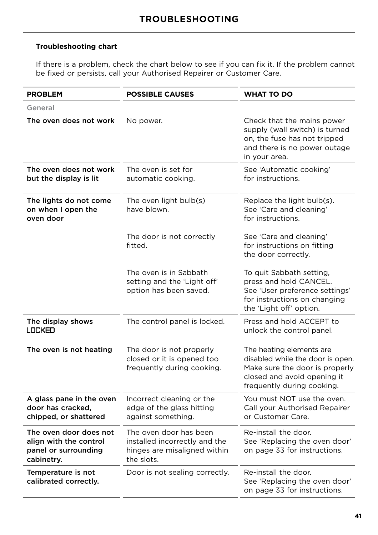#### **Troubleshooting chart**

If there is a problem, check the chart below to see if you can fix it. If the problem cannot be fixed or persists, call your Authorised Repairer or Customer Care.

| <b>PROBLEM</b>                                                                         | <b>POSSIBLE CAUSES</b>                                                                                | <b>WHAT TO DO</b>                                                                                                                                           |
|----------------------------------------------------------------------------------------|-------------------------------------------------------------------------------------------------------|-------------------------------------------------------------------------------------------------------------------------------------------------------------|
| General                                                                                |                                                                                                       |                                                                                                                                                             |
| The oven does not work                                                                 | No power.                                                                                             | Check that the mains power<br>supply (wall switch) is turned<br>on, the fuse has not tripped<br>and there is no power outage<br>in your area.               |
| The oven does not work<br>but the display is lit                                       | The oven is set for<br>automatic cooking.                                                             | See 'Automatic cooking'<br>for instructions.                                                                                                                |
| The lights do not come<br>on when I open the<br>oven door                              | The oven light bulb(s)<br>have blown.                                                                 | Replace the light bulb(s).<br>See 'Care and cleaning'<br>for instructions.                                                                                  |
|                                                                                        | The door is not correctly<br>fitted.                                                                  | See 'Care and cleaning'<br>for instructions on fitting<br>the door correctly.                                                                               |
|                                                                                        | The oven is in Sabbath<br>setting and the 'Light off'<br>option has been saved.                       | To quit Sabbath setting,<br>press and hold CANCEL.<br>See 'User preference settings'<br>for instructions on changing<br>the 'Light off' option.             |
| The display shows<br>LOCKED                                                            | The control panel is locked.                                                                          | Press and hold ACCEPT to<br>unlock the control panel.                                                                                                       |
| The oven is not heating                                                                | The door is not properly<br>closed or it is opened too<br>frequently during cooking.                  | The heating elements are<br>disabled while the door is open.<br>Make sure the door is properly<br>closed and avoid opening it<br>frequently during cooking. |
| A glass pane in the oven<br>door has cracked,<br>chipped, or shattered                 | Incorrect cleaning or the<br>edge of the glass hitting<br>against something.                          | You must NOT use the oven.<br>Call your Authorised Repairer<br>or Customer Care.                                                                            |
| The oven door does not<br>align with the control<br>panel or surrounding<br>cabinetry. | The oven door has been<br>installed incorrectly and the<br>hinges are misaligned within<br>the slots. | Re-install the door.<br>See 'Replacing the oven door'<br>on page 33 for instructions.                                                                       |
| Temperature is not<br>calibrated correctly.                                            | Door is not sealing correctly.                                                                        | Re-install the door.<br>See 'Replacing the oven door'<br>on page 33 for instructions.                                                                       |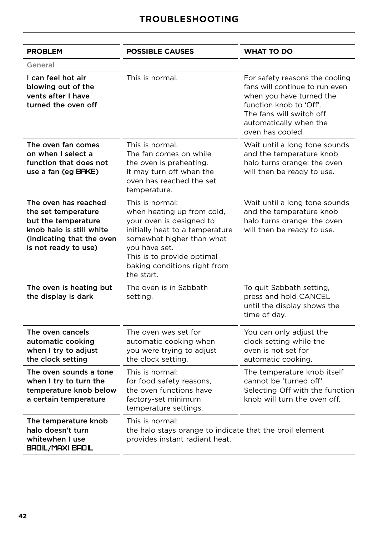| <b>PROBLEM</b>                                                                                                                                      | <b>POSSIBLE CAUSES</b>                                                                                                                                                                                                                 | <b>WHAT TO DO</b>                                                                                                                                                                                 |
|-----------------------------------------------------------------------------------------------------------------------------------------------------|----------------------------------------------------------------------------------------------------------------------------------------------------------------------------------------------------------------------------------------|---------------------------------------------------------------------------------------------------------------------------------------------------------------------------------------------------|
| General                                                                                                                                             |                                                                                                                                                                                                                                        |                                                                                                                                                                                                   |
| I can feel hot air<br>blowing out of the<br>vents after I have<br>turned the oven off                                                               | This is normal.                                                                                                                                                                                                                        | For safety reasons the cooling<br>fans will continue to run even<br>when you have turned the<br>function knob to 'Off'.<br>The fans will switch off<br>automatically when the<br>oven has cooled. |
| The oven fan comes<br>on when I select a<br>function that does not<br>use a fan (eg BAKE)                                                           | This is normal.<br>The fan comes on while<br>the oven is preheating.<br>It may turn off when the<br>oven has reached the set<br>temperature.                                                                                           | Wait until a long tone sounds<br>and the temperature knob<br>halo turns orange: the oven<br>will then be ready to use.                                                                            |
| The oven has reached<br>the set temperature<br>but the temperature<br>knob halo is still white<br>(indicating that the oven<br>is not ready to use) | This is normal:<br>when heating up from cold,<br>your oven is designed to<br>initially heat to a temperature<br>somewhat higher than what<br>you have set.<br>This is to provide optimal<br>baking conditions right from<br>the start. | Wait until a long tone sounds<br>and the temperature knob<br>halo turns orange: the oven<br>will then be ready to use.                                                                            |
| The oven is heating but<br>the display is dark                                                                                                      | The oven is in Sabbath<br>setting.                                                                                                                                                                                                     | To quit Sabbath setting,<br>press and hold CANCEL<br>until the display shows the<br>time of day.                                                                                                  |
| The oven cancels<br>automatic cooking<br>when I try to adjust<br>the clock setting                                                                  | The oven was set for<br>automatic cooking when<br>you were trying to adjust<br>the clock setting.                                                                                                                                      | You can only adjust the<br>clock setting while the<br>oven is not set for<br>automatic cooking.                                                                                                   |
| The oven sounds a tone<br>when I try to turn the<br>temperature knob below<br>a certain temperature                                                 | This is normal:<br>for food safety reasons,<br>the oven functions have<br>factory-set minimum<br>temperature settings.                                                                                                                 | The temperature knob itself<br>cannot be 'turned off'.<br>Selecting Off with the function<br>knob will turn the oven off.                                                                         |
| The temperature knob<br>halo doesn't turn<br>whitewhen I use<br>BROIL/MAXI BROIL                                                                    | This is normal:<br>the halo stays orange to indicate that the broil element<br>provides instant radiant heat.                                                                                                                          |                                                                                                                                                                                                   |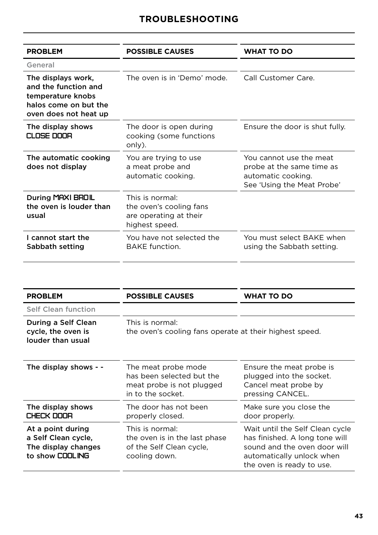| <b>PROBLEM</b>                                                                                                    | <b>POSSIBLE CAUSES</b>                                                                 | <b>WHAT TO DO</b>                                                                                        |
|-------------------------------------------------------------------------------------------------------------------|----------------------------------------------------------------------------------------|----------------------------------------------------------------------------------------------------------|
| General                                                                                                           |                                                                                        |                                                                                                          |
| The displays work,<br>and the function and<br>temperature knobs<br>halos come on but the<br>oven does not heat up | The oven is in 'Demo' mode.                                                            | Call Customer Care.                                                                                      |
| The display shows<br>CLOSE DOOR                                                                                   | The door is open during<br>cooking (some functions<br>only).                           | Ensure the door is shut fully.                                                                           |
| The automatic cooking<br>does not display                                                                         | You are trying to use<br>a meat probe and<br>automatic cooking.                        | You cannot use the meat<br>probe at the same time as<br>automatic cooking.<br>See 'Using the Meat Probe' |
| During MAXI BROIL<br>the oven is louder than<br>usual                                                             | This is normal:<br>the oven's cooling fans<br>are operating at their<br>highest speed. |                                                                                                          |
| I cannot start the<br>Sabbath setting                                                                             | You have not selected the<br><b>BAKE</b> function.                                     | You must select BAKE when<br>using the Sabbath setting.                                                  |

 $\overline{\phantom{a}}$ 

| <b>PROBLEM</b>                                                                     | <b>POSSIBLE CAUSES</b>                                                                             | <b>WHAT TO DO</b>                                                                                                                                           |
|------------------------------------------------------------------------------------|----------------------------------------------------------------------------------------------------|-------------------------------------------------------------------------------------------------------------------------------------------------------------|
| Self Clean function                                                                |                                                                                                    |                                                                                                                                                             |
| During a Self Clean<br>cycle, the oven is<br>louder than usual                     | This is normal:<br>the oven's cooling fans operate at their highest speed.                         |                                                                                                                                                             |
| The display shows - -                                                              | The meat probe mode<br>has been selected but the<br>meat probe is not plugged<br>in to the socket. | Ensure the meat probe is<br>plugged into the socket.<br>Cancel meat probe by<br>pressing CANCEL.                                                            |
| The display shows<br>CHECK DOOR                                                    | The door has not been<br>properly closed.                                                          | Make sure you close the<br>door properly.                                                                                                                   |
| At a point during<br>a Self Clean cycle,<br>The display changes<br>to show COOLING | This is normal:<br>the oven is in the last phase<br>of the Self Clean cycle,<br>cooling down.      | Wait until the Self Clean cycle<br>has finished. A long tone will<br>sound and the oven door will<br>automatically unlock when<br>the oven is ready to use. |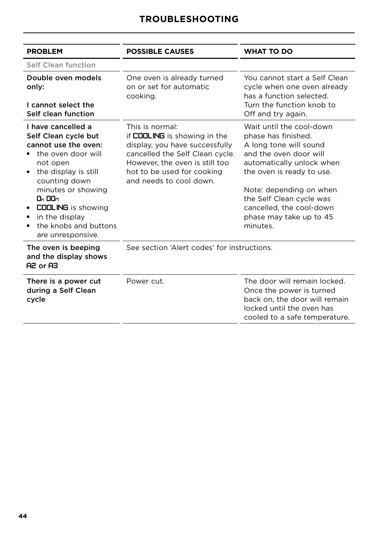| <b>PROBLEM</b>                                                                                                                                                                                                                                                                         | <b>POSSIBLE CAUSES</b>                                                                                                                                                                                          | <b>WHAT TO DO</b>                                                                                                                                                                                                                                                                       |
|----------------------------------------------------------------------------------------------------------------------------------------------------------------------------------------------------------------------------------------------------------------------------------------|-----------------------------------------------------------------------------------------------------------------------------------------------------------------------------------------------------------------|-----------------------------------------------------------------------------------------------------------------------------------------------------------------------------------------------------------------------------------------------------------------------------------------|
| Self Clean function                                                                                                                                                                                                                                                                    |                                                                                                                                                                                                                 |                                                                                                                                                                                                                                                                                         |
| Double oven models<br>only:<br>I cannot select the                                                                                                                                                                                                                                     | One oven is already turned<br>on or set for automatic<br>cooking.                                                                                                                                               | You cannot start a Self Clean<br>cycle when one oven already<br>has a function selected.<br>Turn the function knob to                                                                                                                                                                   |
| Self clean function                                                                                                                                                                                                                                                                    |                                                                                                                                                                                                                 | Off and try again.                                                                                                                                                                                                                                                                      |
| I have cancelled a<br>Self Clean cycle but<br>cannot use the oven:<br>the oven door will<br>not open<br>the display is still<br>counting down<br>minutes or showing<br><b>OH 00m</b><br><b>COOLING</b> is showing<br>in the display<br>٠<br>the knobs and buttons<br>are unresponsive. | This is normal:<br>if COOLING is showing in the<br>display, you have successfully<br>cancelled the Self Clean cycle.<br>However, the oven is still too<br>hot to be used for cooking<br>and needs to cool down. | Wait until the cool-down<br>phase has finished.<br>A long tone will sound<br>and the oven door will<br>automatically unlock when<br>the oven is ready to use.<br>Note: depending on when<br>the Self Clean cycle was<br>cancelled, the cool-down<br>phase may take up to 45<br>minutes. |
| The oven is beeping<br>and the display shows<br>A2 or A3                                                                                                                                                                                                                               | See section 'Alert codes' for instructions.                                                                                                                                                                     |                                                                                                                                                                                                                                                                                         |
| There is a power cut<br>during a Self Clean<br>cycle                                                                                                                                                                                                                                   | Power cut.                                                                                                                                                                                                      | The door will remain locked.<br>Once the power is turned<br>back on, the door will remain<br>locked until the oven has<br>cooled to a safe temperature.                                                                                                                                 |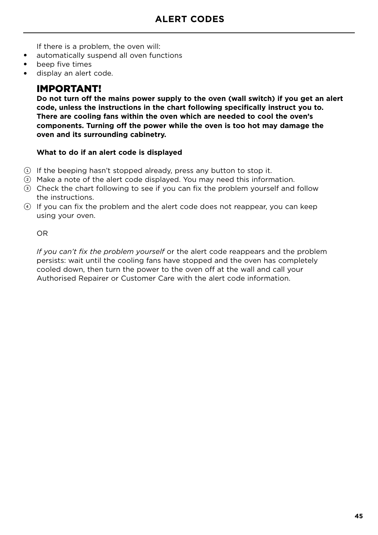If there is a problem, the oven will:

- automatically suspend all oven functions
- beep five times
- display an alert code.

### IMPORTANT!

**Do not turn off the mains power supply to the oven (wall switch) if you get an alert code, unless the instructions in the chart following specifically instruct you to. There are cooling fans within the oven which are needed to cool the oven's components. Turning off the power while the oven is too hot may damage the oven and its surrounding cabinetry.**

#### **What to do if an alert code is displayed**

- 1 If the beeping hasn't stopped already, press any button to stop it.
- 2 Make a note of the alert code displayed. You may need this information.
- 3 Check the chart following to see if you can fix the problem yourself and follow the instructions.
- 4 If you can fix the problem and the alert code does not reappear, you can keep using your oven.

OR

*If you can't fix the problem yourself* or the alert code reappears and the problem persists: wait until the cooling fans have stopped and the oven has completely cooled down, then turn the power to the oven off at the wall and call your Authorised Repairer or Customer Care with the alert code information.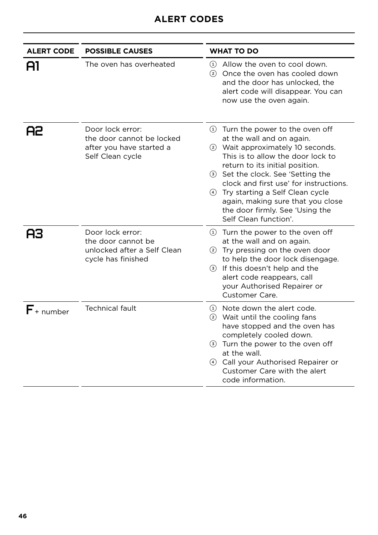| <b>ALERT CODE</b> | <b>POSSIBLE CAUSES</b>                                                                        | <b>WHAT TO DO</b>                                                                                                                                                                                                                                                                                                                                                                                  |
|-------------------|-----------------------------------------------------------------------------------------------|----------------------------------------------------------------------------------------------------------------------------------------------------------------------------------------------------------------------------------------------------------------------------------------------------------------------------------------------------------------------------------------------------|
| Al                | The oven has overheated                                                                       | 1) Allow the oven to cool down.<br>2 Once the oven has cooled down<br>and the door has unlocked, the<br>alert code will disappear. You can<br>now use the oven again.                                                                                                                                                                                                                              |
| 82                | Door lock error:<br>the door cannot be locked<br>after you have started a<br>Self Clean cycle | $(1)$ Turn the power to the oven off<br>at the wall and on again.<br>2 Wait approximately 10 seconds.<br>This is to allow the door lock to<br>return to its initial position.<br>3 Set the clock. See 'Setting the<br>clock and first use' for instructions.<br>4 Try starting a Self Clean cycle<br>again, making sure that you close<br>the door firmly. See 'Using the<br>Self Clean function'. |
| AЗ                | Door lock error:<br>the door cannot be<br>unlocked after a Self Clean<br>cycle has finished   | $(1)$ Turn the power to the oven off<br>at the wall and on again.<br>2) Try pressing on the oven door<br>to help the door lock disengage.<br>(3) If this doesn't help and the<br>alert code reappears, call<br>your Authorised Repairer or<br>Customer Care.                                                                                                                                       |
| $F_{+}$ number    | <b>Technical fault</b>                                                                        | (1) Note down the alert code.<br>2 Wait until the cooling fans<br>have stopped and the oven has<br>completely cooled down.<br><b>3</b> Turn the power to the oven off<br>at the wall.<br>4 Call your Authorised Repairer or<br>Customer Care with the alert<br>code information.                                                                                                                   |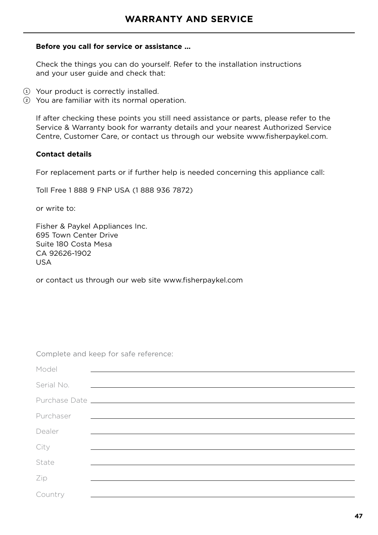#### **Before you call for service or assistance ...**

Check the things you can do yourself. Refer to the installation instructions and your user guide and check that:

- 1 Your product is correctly installed.
- 2 You are familiar with its normal operation.

If after checking these points you still need assistance or parts, please refer to the Service & Warranty book for warranty details and your nearest Authorized Service Centre, Customer Care, or contact us through our website www.fisherpaykel.com.

#### **Contact details**

For replacement parts or if further help is needed concerning this appliance call:

Toll Free 1 888 9 FNP USA (1 888 936 7872)

or write to:

Fisher & Paykel Appliances Inc. 695 Town Center Drive Suite 180 Costa Mesa CA 92626-1902 USA

or contact us through our web site www.fisherpaykel.com

Complete and keep for safe reference:

| Model      |                                                                                                                       |
|------------|-----------------------------------------------------------------------------------------------------------------------|
| Serial No. | <u> 1980 - Andrea Andrea Andrea Andrea Andrea Andrea Andrea Andrea Andrea Andrea Andrea Andrea Andrea Andrea Andr</u> |
|            |                                                                                                                       |
| Purchaser  | <u> La construcción de la construcción de la construcción de la construcción de la construcción de la construcció</u> |
| Dealer     |                                                                                                                       |
| City       |                                                                                                                       |
| State      |                                                                                                                       |
| Zip        |                                                                                                                       |
| Country    |                                                                                                                       |